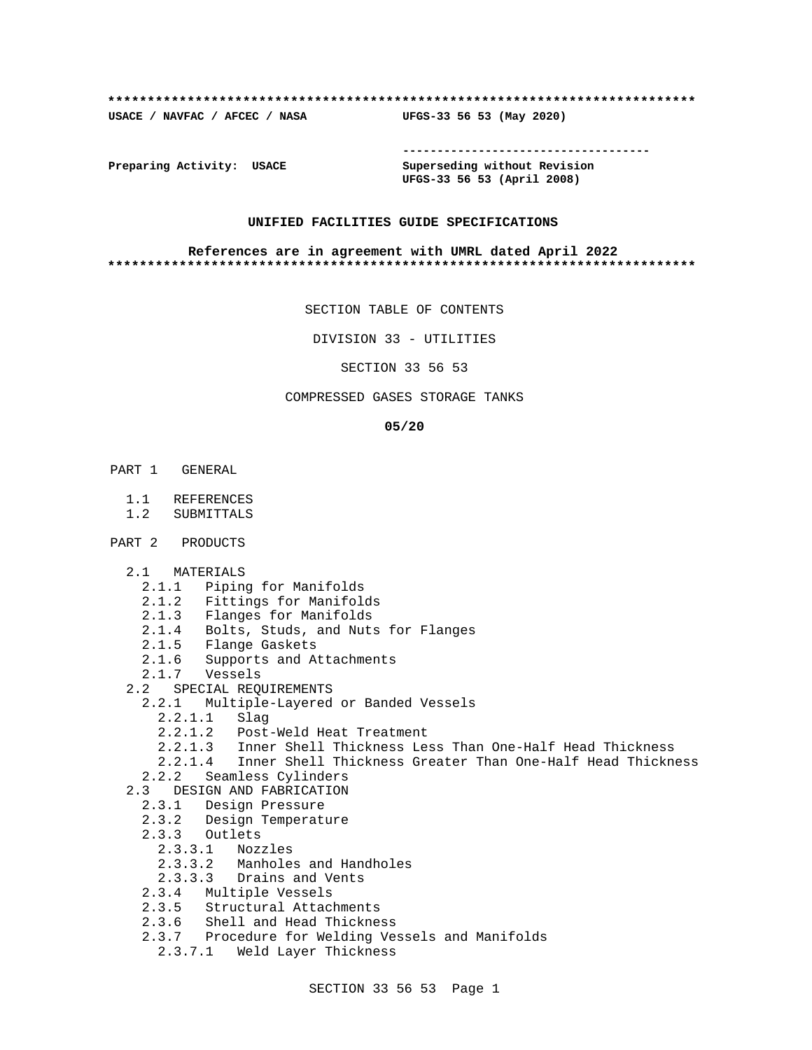#### **\*\*\*\*\*\*\*\*\*\*\*\*\*\*\*\*\*\*\*\*\*\*\*\*\*\*\*\*\*\*\*\*\*\*\*\*\*\*\*\*\*\*\*\*\*\*\*\*\*\*\*\*\*\*\*\*\*\*\*\*\*\*\*\*\*\*\*\*\*\*\*\*\*\***

**USACE / NAVFAC / AFCEC / NASA UFGS-33 56 53 (May 2020)**

**------------------------------------**

**Preparing Activity: USACE Superseding without Revision UFGS-33 56 53 (April 2008)**

#### **UNIFIED FACILITIES GUIDE SPECIFICATIONS**

#### **References are in agreement with UMRL dated April 2022 \*\*\*\*\*\*\*\*\*\*\*\*\*\*\*\*\*\*\*\*\*\*\*\*\*\*\*\*\*\*\*\*\*\*\*\*\*\*\*\*\*\*\*\*\*\*\*\*\*\*\*\*\*\*\*\*\*\*\*\*\*\*\*\*\*\*\*\*\*\*\*\*\*\***

SECTION TABLE OF CONTENTS

DIVISION 33 - UTILITIES

SECTION 33 56 53

#### COMPRESSED GASES STORAGE TANKS

#### **05/20**

- PART 1 GENERAL
	- 1.1 REFERENCES
	- 1.2 SUBMITTALS
- PART 2 PRODUCTS
	- 2.1 MATERIALS
		- 2.1.1 Piping for Manifolds
- 2.1.2 Fittings for Manifolds
- 2.1.3 Flanges for Manifolds
	- 2.1.4 Bolts, Studs, and Nuts for Flanges
	- 2.1.5 Flange Gaskets
	- 2.1.6 Supports and Attachments<br>2.1.7 Vessels
	- 2.1.7 Vessels
	- 2.2 SPECIAL REQUIREMENTS
		- 2.2.1 Multiple-Layered or Banded Vessels
			- 2.2.1.1 Slag
			- 2.2.1.2 Post-Weld Heat Treatment
			- 2.2.1.3 Inner Shell Thickness Less Than One-Half Head Thickness
			- 2.2.1.4 Inner Shell Thickness Greater Than One-Half Head Thickness
	- 2.2.2 Seamless Cylinders
	- 2.3 DESIGN AND FABRICATION
		- 2.3.1 Design Pressure
		- 2.3.2 Design Temperature
		- 2.3.3 Outlets
			- 2.3.3.1 Nozzles
			- 2.3.3.2 Manholes and Handholes
			- 2.3.3.3 Drains and Vents
		- 2.3.4 Multiple Vessels
		- 2.3.5 Structural Attachments
- 2.3.6 Shell and Head Thickness
- 2.3.7 Procedure for Welding Vessels and Manifolds
	- 2.3.7.1 Weld Layer Thickness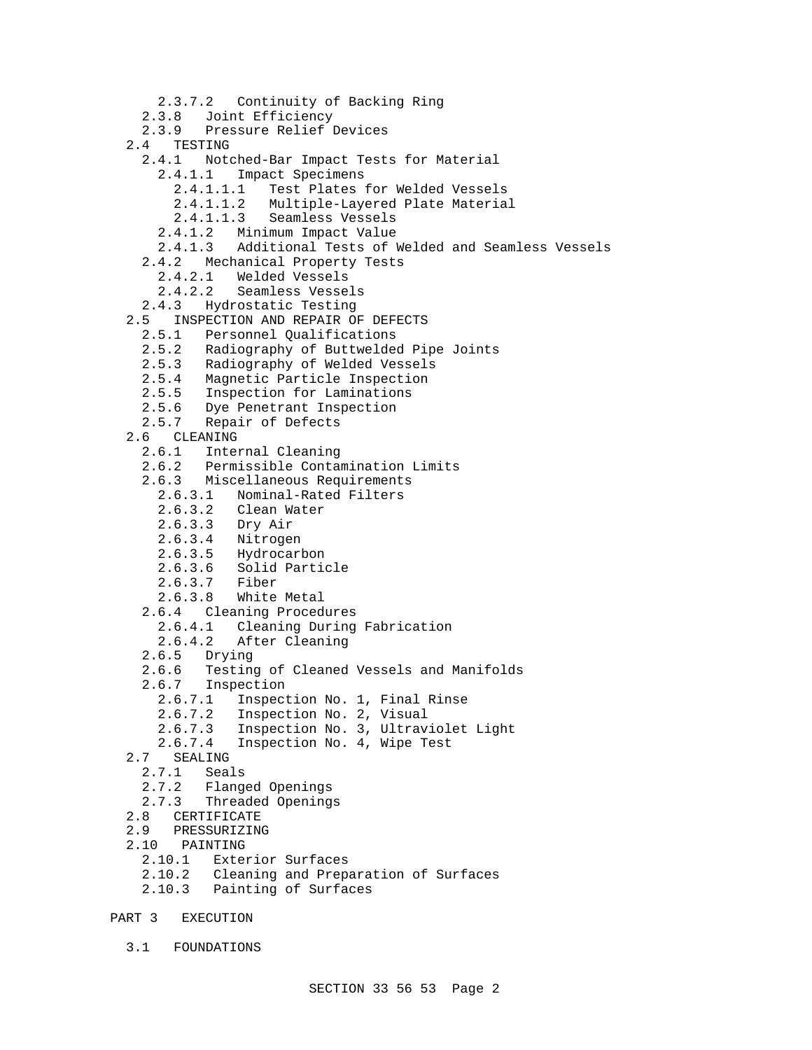2.3.7.2 Continuity of Backing Ring 2.3.8 Joint Efficiency 2.3.9 Pressure Relief Devices 2.4 TESTING 2.4.1 Notched-Bar Impact Tests for Material 2.4.1.1 Impact Specimens 2.4.1.1.1 Test Plates for Welded Vessels 2.4.1.1.2 Multiple-Layered Plate Material Seamless Vessels 2.4.1.2 Minimum Impact Value 2.4.1.3 Additional Tests of Welded and Seamless Vessels 2.4.2 Mechanical Property Tests 2.4.2.1 Welded Vessels 2.4.2.2 Seamless Vessels 2.4.3 Hydrostatic Testing 2.5 INSPECTION AND REPAIR OF DEFECTS 2.5.1 Personnel Qualifications 2.5.2 Radiography of Buttwelded Pipe Joints 2.5.3 Radiography of Welded Vessels 2.5.4 Magnetic Particle Inspection Inspection for Laminations 2.5.6 Dye Penetrant Inspection 2.5.7 Repair of Defects 2.6 CLEANING 2.6.1 Internal Cleaning 2.6.2 Permissible Contamination Limits 2.6.3 Miscellaneous Requirements 2.6.3.1 Nominal-Rated Filters 2.6.3.2 Clean Water 2.6.3.3 Dry Air 2.6.3.4 Nitrogen 2.6.3.5 Hydrocarbon<br>2.6.3.6 Solid Parti Solid Particle<br>Fiber  $2.6.3.7$  2.6.3.8 White Metal 2.6.4 Cleaning Procedures 2.6.4.1 Cleaning During Fabrication 2.6.4.2 After Cleaning 2.6.5 Drying 2.6.6 Testing of Cleaned Vessels and Manifolds 2.6.7 Inspection 2.6.7.1 Inspection No. 1, Final Rinse 2.6.7.2 Inspection No. 2, Visual 2.6.7.3 Inspection No. 3, Ultraviolet Light 2.6.7.4 Inspection No. 4, Wipe Test 2.7 SEALING 2.7.1 Seals 2.7.2 Flanged Openings 2.7.3 Threaded Openings 2.8 CERTIFICATE<br>2.9 PRESSURIZIN 2.9 PRESSURIZING 2.10 PAINTING 2.10.1 Exterior Surfaces 2.10.2 Cleaning and Preparation of Surfaces 2.10.3 Painting of Surfaces PART 3 EXECUTION

3.1 FOUNDATIONS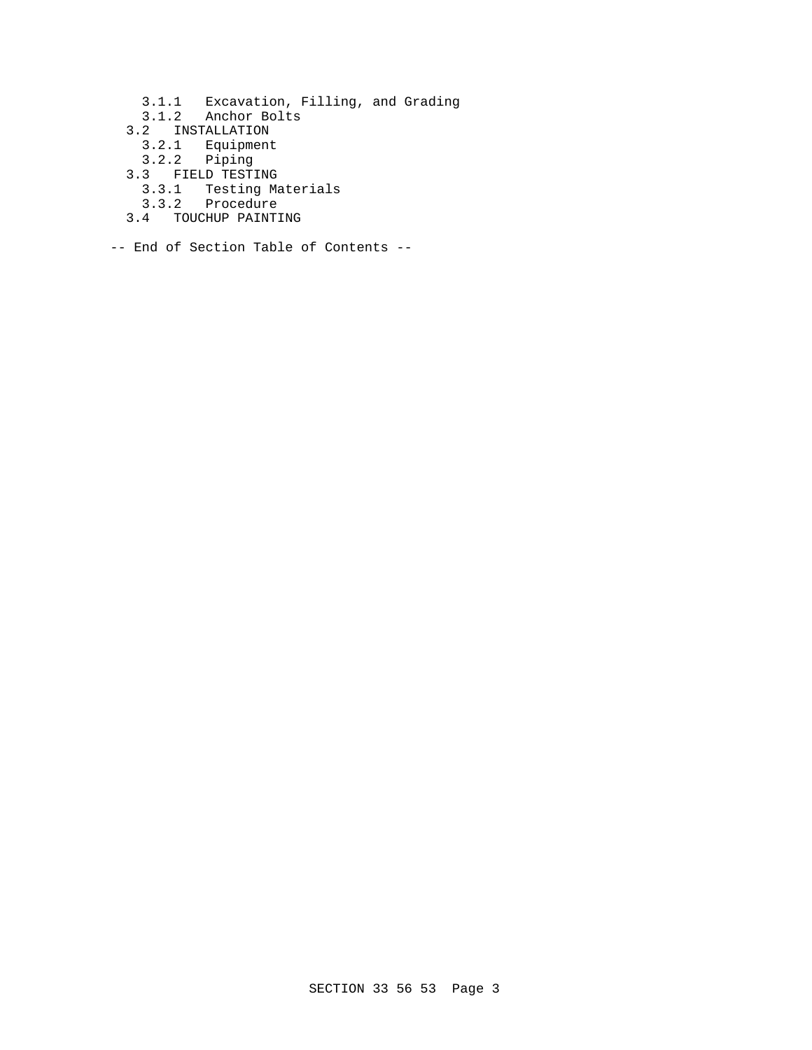- 3.1.1 Excavation, Filling, and Grading
- 3.1.2 Anchor Bolts
- 3.2 INSTALLATION
	- 3.2.1 Equipment
	- 3.2.2 Piping
- 3.3 FIELD TESTING
- 3.3.1 Testing Materials
- 3.3.2 Procedure
	- 3.4 TOUCHUP PAINTING
- -- End of Section Table of Contents --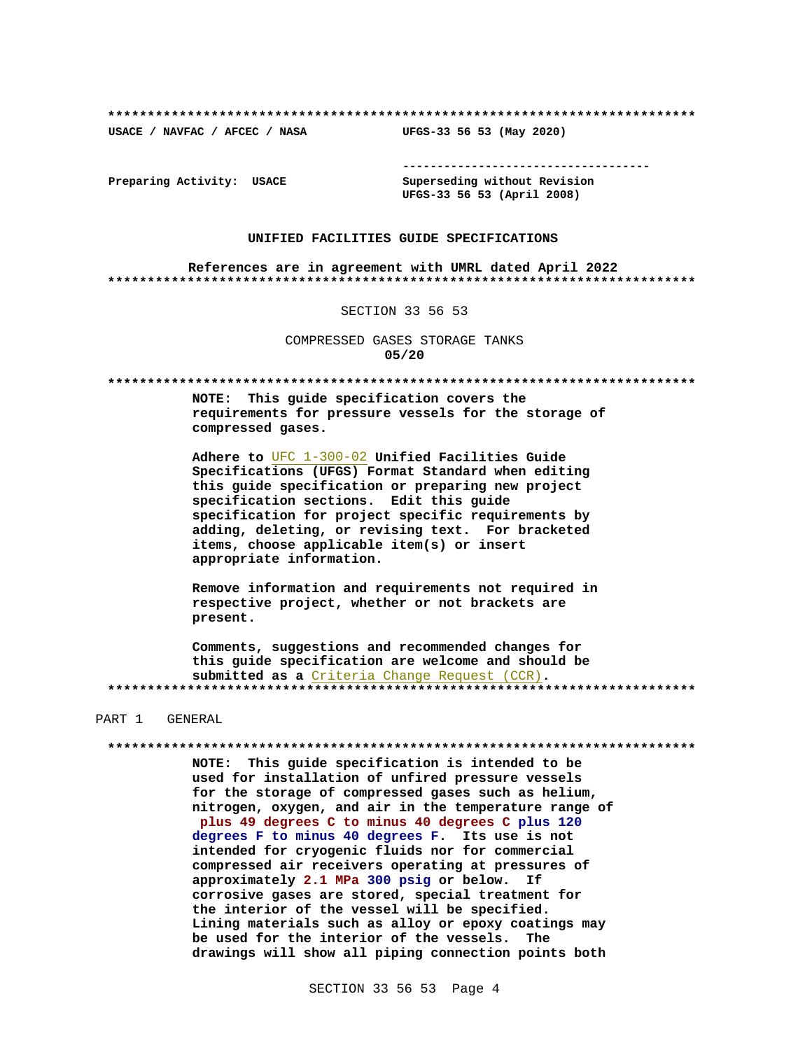UFGS-33 56 53 (May 2020)

USACE / NAVFAC / AFCEC / NASA

--------------------------------------

Preparing Activity: USACE

Superseding without Revision UFGS-33 56 53 (April 2008)

#### UNIFIED FACILITIES GUIDE SPECIFICATIONS

References are in agreement with UMRL dated April 2022 

#### SECTION 33 56 53

COMPRESSED GASES STORAGE TANKS  $05/20$ 

NOTE: This guide specification covers the requirements for pressure vessels for the storage of compressed gases.

Adhere to UFC 1-300-02 Unified Facilities Guide Specifications (UFGS) Format Standard when editing this quide specification or preparing new project specification sections. Edit this guide specification for project specific requirements by adding, deleting, or revising text. For bracketed items, choose applicable item(s) or insert appropriate information.

Remove information and requirements not required in respective project, whether or not brackets are present.

Comments, suggestions and recommended changes for this guide specification are welcome and should be submitted as a Criteria Change Request (CCR). 

#### PART 1 GENERAL

NOTE: This guide specification is intended to be used for installation of unfired pressure vessels for the storage of compressed gases such as helium, nitrogen, oxygen, and air in the temperature range of plus 49 degrees C to minus 40 degrees C plus 120 degrees F to minus 40 degrees F. Its use is not intended for cryogenic fluids nor for commercial compressed air receivers operating at pressures of approximately 2.1 MPa 300 psig or below. If corrosive gases are stored, special treatment for the interior of the vessel will be specified. Lining materials such as alloy or epoxy coatings may be used for the interior of the vessels. The drawings will show all piping connection points both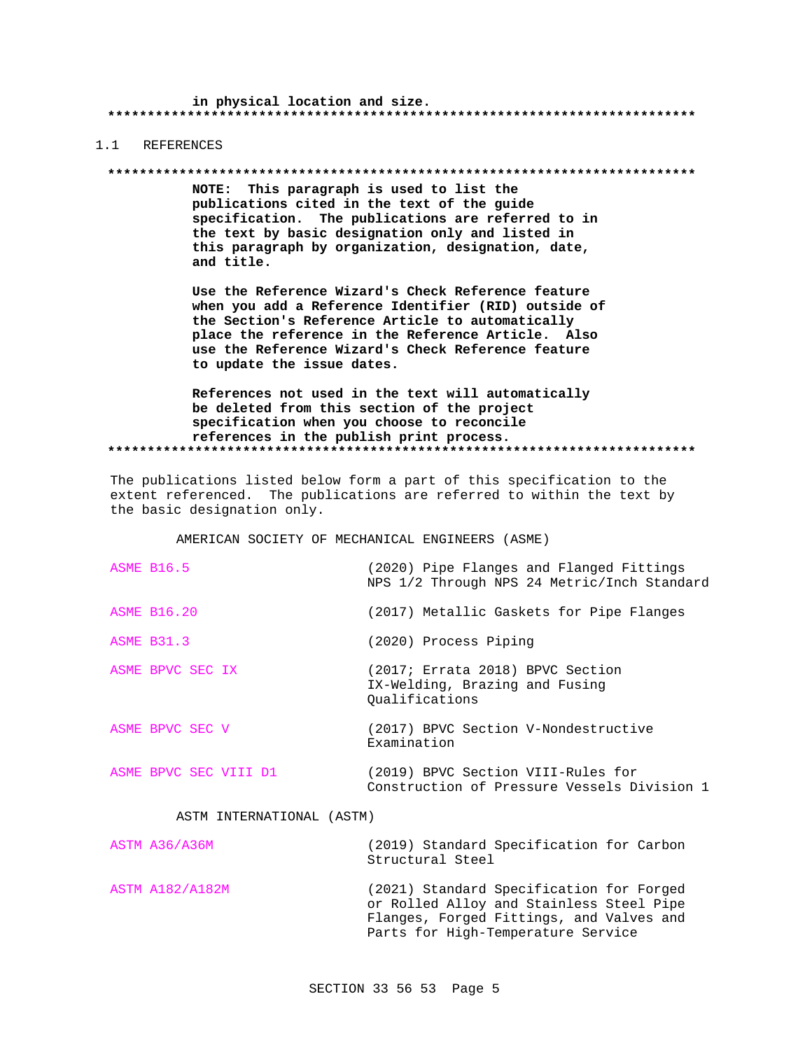in physical location and size. 

#### 1.1 REFERENCES

#### 

NOTE: This paragraph is used to list the publications cited in the text of the guide specification. The publications are referred to in the text by basic designation only and listed in this paragraph by organization, designation, date, and title.

Use the Reference Wizard's Check Reference feature when you add a Reference Identifier (RID) outside of the Section's Reference Article to automatically place the reference in the Reference Article. Also use the Reference Wizard's Check Reference feature to update the issue dates.

References not used in the text will automatically be deleted from this section of the project specification when you choose to reconcile references in the publish print process. 

The publications listed below form a part of this specification to the extent referenced. The publications are referred to within the text by the basic designation only.

AMERICAN SOCIETY OF MECHANICAL ENGINEERS (ASME)

| <b>ASME B16.5</b>            | (2020) Pipe Flanges and Flanged Fittings<br>NPS 1/2 Through NPS 24 Metric/Inch Standard |
|------------------------------|-----------------------------------------------------------------------------------------|
| <b>ASME B16.20</b>           | (2017) Metallic Gaskets for Pipe Flanges                                                |
| <b>ASME B31.3</b>            | (2020) Process Piping                                                                   |
| ASME BPVC SEC IX             | (2017; Errata 2018) BPVC Section<br>IX-Welding, Brazing and Fusing<br>Oualifications    |
| ASME BPVC SEC V              | (2017) BPVC Section V-Nondestructive<br>Examination                                     |
| ASME BPVC SEC VIII D1        | (2019) BPVC Section VIII-Rules for<br>Construction of Pressure Vessels Division 1       |
| (ASTM)<br>ASTM INTERNATIONAL |                                                                                         |

# (2019) Standard Specification for Carbon ASTM A36/A36M Structural Steel

**ASTM A182/A182M** (2021) Standard Specification for Forged or Rolled Alloy and Stainless Steel Pipe Flanges, Forged Fittings, and Valves and Parts for High-Temperature Service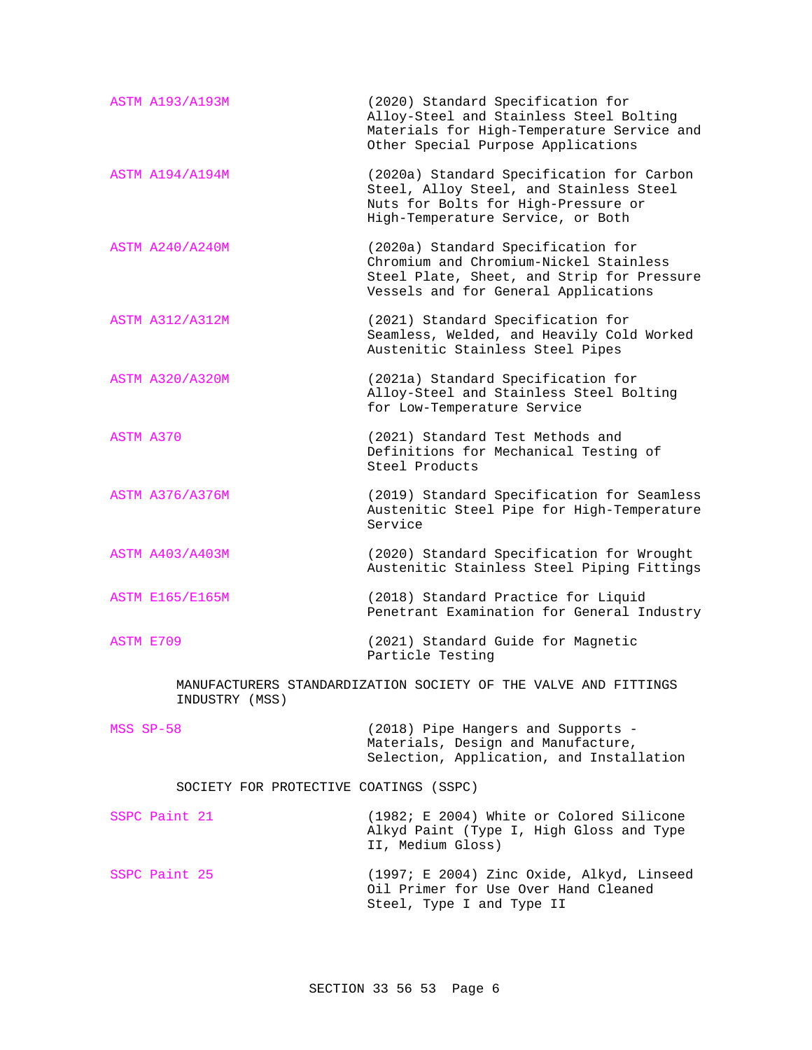ASTM A193/A193M (2020) Standard Specification for Alloy-Steel and Stainless Steel Bolting Materials for High-Temperature Service and Other Special Purpose Applications ASTM A194/A194M (2020a) Standard Specification for Carbon Steel, Alloy Steel, and Stainless Steel Nuts for Bolts for High-Pressure or High-Temperature Service, or Both ASTM A240/A240M (2020a) Standard Specification for Chromium and Chromium-Nickel Stainless Steel Plate, Sheet, and Strip for Pressure Vessels and for General Applications ASTM A312/A312M (2021) Standard Specification for Seamless, Welded, and Heavily Cold Worked Austenitic Stainless Steel Pipes ASTM A320/A320M (2021a) Standard Specification for Alloy-Steel and Stainless Steel Bolting for Low-Temperature Service ASTM A370 (2021) Standard Test Methods and Definitions for Mechanical Testing of Steel Products ASTM A376/A376M (2019) Standard Specification for Seamless Austenitic Steel Pipe for High-Temperature Service ASTM A403/A403M (2020) Standard Specification for Wrought Austenitic Stainless Steel Piping Fittings ASTM E165/E165M (2018) Standard Practice for Liquid Penetrant Examination for General Industry ASTM E709 (2021) Standard Guide for Magnetic Particle Testing MANUFACTURERS STANDARDIZATION SOCIETY OF THE VALVE AND FITTINGS INDUSTRY (MSS) MSS SP-58 (2018) Pipe Hangers and Supports - Materials, Design and Manufacture, Selection, Application, and Installation SOCIETY FOR PROTECTIVE COATINGS (SSPC)

# SSPC Paint 21 (1982; E 2004) White or Colored Silicone Alkyd Paint (Type I, High Gloss and Type II, Medium Gloss) SSPC Paint 25 (1997; E 2004) Zinc Oxide, Alkyd, Linseed

Oil Primer for Use Over Hand Cleaned Steel, Type I and Type II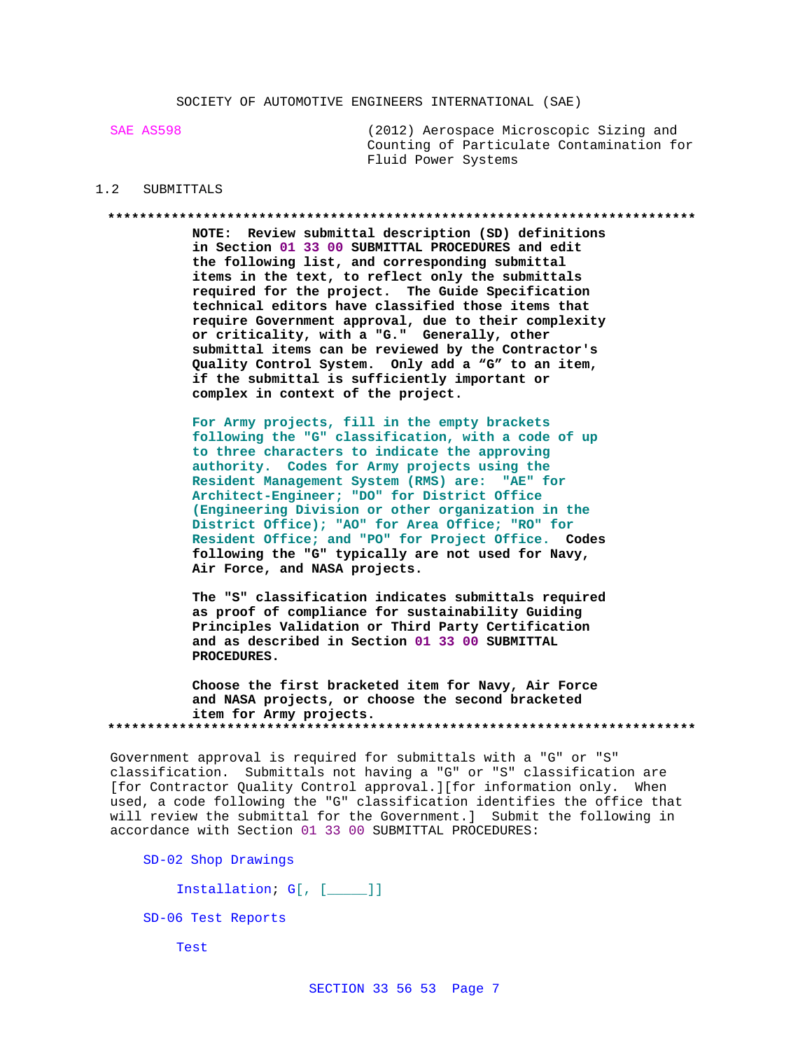#### SOCIETY OF AUTOMOTIVE ENGINEERS INTERNATIONAL (SAE)

SAE AS598

(2012) Aerospace Microscopic Sizing and Counting of Particulate Contamination for Fluid Power Systems

#### $1.2$ SUBMITTALS

#### 

NOTE: Review submittal description (SD) definitions in Section 01 33 00 SUBMITTAL PROCEDURES and edit the following list, and corresponding submittal items in the text, to reflect only the submittals required for the project. The Guide Specification technical editors have classified those items that require Government approval, due to their complexity or criticality, with a "G." Generally, other submittal items can be reviewed by the Contractor's Quality Control System. Only add a "G" to an item, if the submittal is sufficiently important or complex in context of the project.

For Army projects, fill in the empty brackets following the "G" classification, with a code of up to three characters to indicate the approving authority. Codes for Army projects using the Resident Management System (RMS) are: "AE" for Architect-Engineer; "DO" for District Office (Engineering Division or other organization in the District Office); "AO" for Area Office; "RO" for Resident Office; and "PO" for Project Office. Codes following the "G" typically are not used for Navy, Air Force, and NASA projects.

The "S" classification indicates submittals required as proof of compliance for sustainability Guiding Principles Validation or Third Party Certification and as described in Section 01 33 00 SUBMITTAL PROCEDURES.

Choose the first bracketed item for Navy, Air Force and NASA projects, or choose the second bracketed item for Army projects. 

Government approval is required for submittals with a "G" or "S" classification. Submittals not having a "G" or "S" classification are [for Contractor Quality Control approval.][for information only. When used, a code following the "G" classification identifies the office that will review the submittal for the Government.] Submit the following in accordance with Section 01 33 00 SUBMITTAL PROCEDURES:

SD-02 Shop Drawings

```
Installation; G[, [\underline{\hspace{1cm}}]]
```
SD-06 Test Reports

Test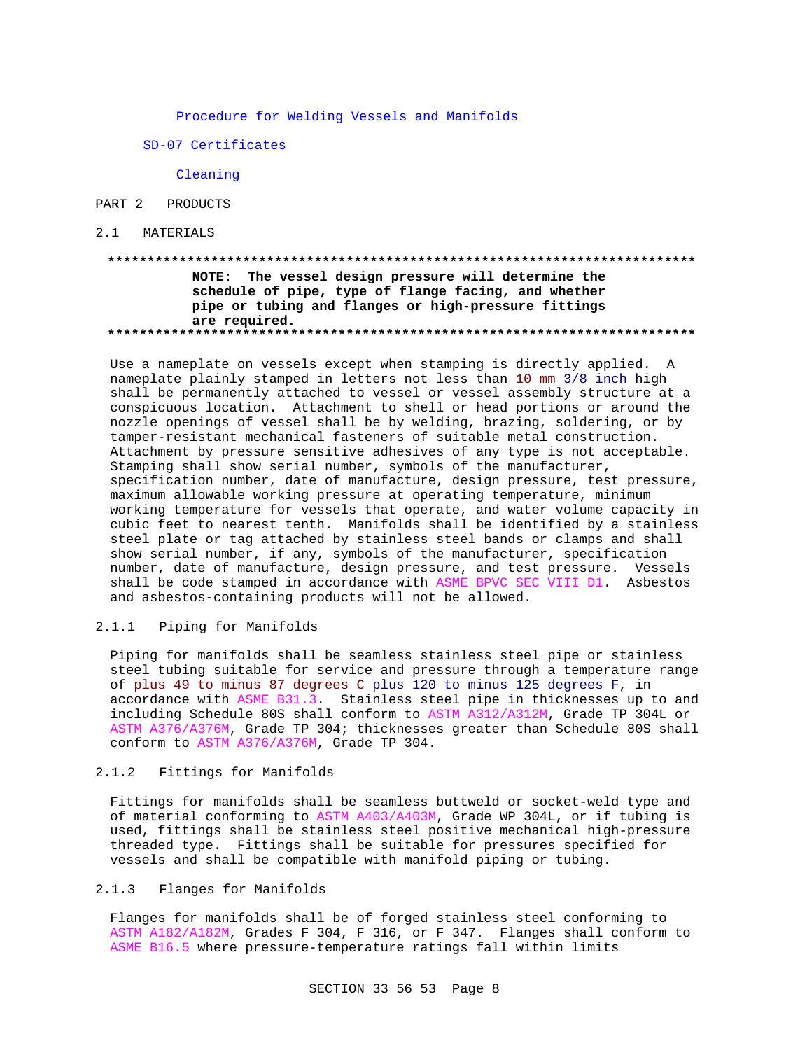Procedure for Welding Vessels and Manifolds

SD-07 Certificates

Cleaning

- PART 2 PRODUCTS
- 2.1 MATERIALS

#### 

#### NOTE: The vessel design pressure will determine the schedule of pipe, type of flange facing, and whether pipe or tubing and flanges or high-pressure fittings are required.

Use a nameplate on vessels except when stamping is directly applied. A nameplate plainly stamped in letters not less than 10 mm 3/8 inch high shall be permanently attached to vessel or vessel assembly structure at a conspicuous location. Attachment to shell or head portions or around the nozzle openings of vessel shall be by welding, brazing, soldering, or by tamper-resistant mechanical fasteners of suitable metal construction. Attachment by pressure sensitive adhesives of any type is not acceptable. Stamping shall show serial number, symbols of the manufacturer, specification number, date of manufacture, design pressure, test pressure, maximum allowable working pressure at operating temperature, minimum working temperature for vessels that operate, and water volume capacity in cubic feet to nearest tenth. Manifolds shall be identified by a stainless steel plate or tag attached by stainless steel bands or clamps and shall show serial number, if any, symbols of the manufacturer, specification number, date of manufacture, design pressure, and test pressure. Vessels shall be code stamped in accordance with ASME BPVC SEC VIII D1. Asbestos and asbestos-containing products will not be allowed.

#### $2.1.1$ Piping for Manifolds

Piping for manifolds shall be seamless stainless steel pipe or stainless steel tubing suitable for service and pressure through a temperature range of plus 49 to minus 87 degrees C plus 120 to minus 125 degrees F, in accordance with ASME B31.3. Stainless steel pipe in thicknesses up to and including Schedule 80S shall conform to ASTM A312/A312M, Grade TP 304L or ASTM A376/A376M, Grade TP 304; thicknesses greater than Schedule 80S shall conform to ASTM A376/A376M, Grade TP 304.

#### $2.1.2$ Fittings for Manifolds

Fittings for manifolds shall be seamless buttweld or socket-weld type and of material conforming to ASTM A403/A403M, Grade WP 304L, or if tubing is used, fittings shall be stainless steel positive mechanical high-pressure threaded type. Fittings shall be suitable for pressures specified for vessels and shall be compatible with manifold piping or tubing.

#### 2.1.3 Flanges for Manifolds

Flanges for manifolds shall be of forged stainless steel conforming to ASTM A182/A182M, Grades F 304, F 316, or F 347. Flanges shall conform to ASME B16.5 where pressure-temperature ratings fall within limits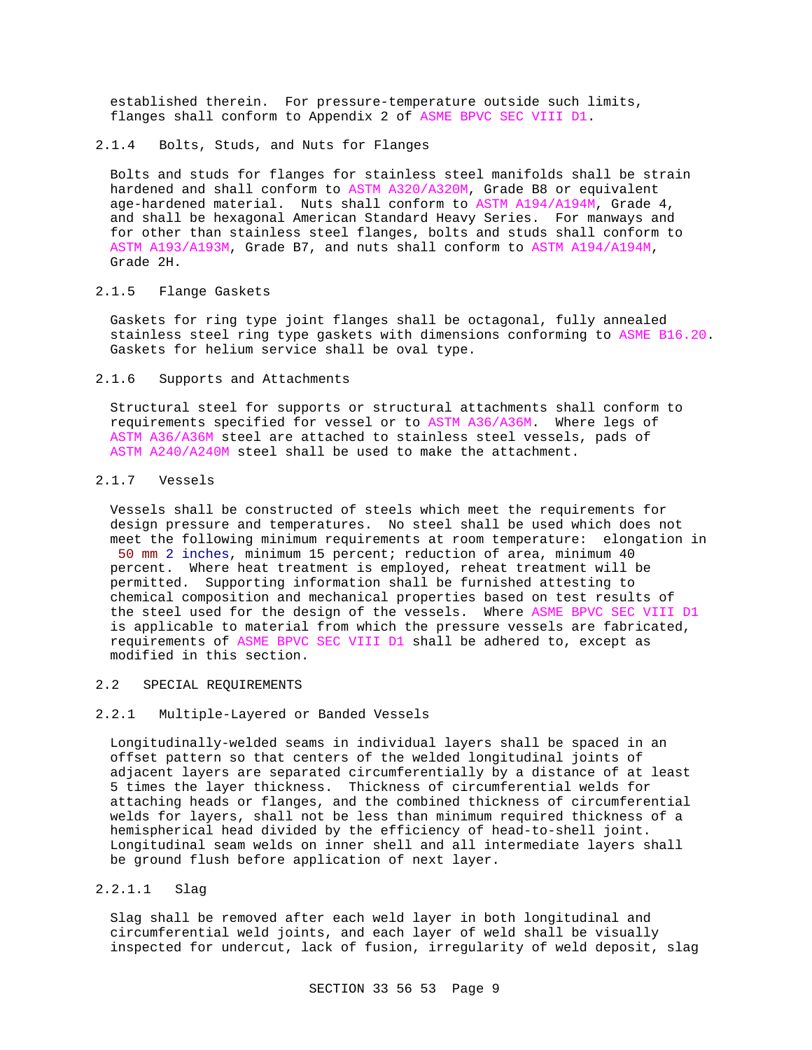established therein. For pressure-temperature outside such limits, flanges shall conform to Appendix 2 of ASME BPVC SEC VIII D1.

#### 2.1.4 Bolts, Studs, and Nuts for Flanges

Bolts and studs for flanges for stainless steel manifolds shall be strain hardened and shall conform to ASTM A320/A320M, Grade B8 or equivalent age-hardened material. Nuts shall conform to ASTM A194/A194M, Grade 4, and shall be hexagonal American Standard Heavy Series. For manways and for other than stainless steel flanges, bolts and studs shall conform to ASTM A193/A193M, Grade B7, and nuts shall conform to ASTM A194/A194M, Grade 2H.

#### 2.1.5 Flange Gaskets

Gaskets for ring type joint flanges shall be octagonal, fully annealed stainless steel ring type gaskets with dimensions conforming to ASME B16.20. Gaskets for helium service shall be oval type.

### 2.1.6 Supports and Attachments

Structural steel for supports or structural attachments shall conform to requirements specified for vessel or to ASTM A36/A36M. Where legs of ASTM A36/A36M steel are attached to stainless steel vessels, pads of ASTM A240/A240M steel shall be used to make the attachment.

# 2.1.7 Vessels

Vessels shall be constructed of steels which meet the requirements for design pressure and temperatures. No steel shall be used which does not meet the following minimum requirements at room temperature: elongation in 50 mm 2 inches, minimum 15 percent; reduction of area, minimum 40 percent. Where heat treatment is employed, reheat treatment will be permitted. Supporting information shall be furnished attesting to chemical composition and mechanical properties based on test results of the steel used for the design of the vessels. Where ASME BPVC SEC VIII D1 is applicable to material from which the pressure vessels are fabricated, requirements of ASME BPVC SEC VIII D1 shall be adhered to, except as modified in this section.

#### 2.2 SPECIAL REQUIREMENTS

#### 2.2.1 Multiple-Layered or Banded Vessels

Longitudinally-welded seams in individual layers shall be spaced in an offset pattern so that centers of the welded longitudinal joints of adjacent layers are separated circumferentially by a distance of at least 5 times the layer thickness. Thickness of circumferential welds for attaching heads or flanges, and the combined thickness of circumferential welds for layers, shall not be less than minimum required thickness of a hemispherical head divided by the efficiency of head-to-shell joint. Longitudinal seam welds on inner shell and all intermediate layers shall be ground flush before application of next layer.

# 2.2.1.1 Slag

Slag shall be removed after each weld layer in both longitudinal and circumferential weld joints, and each layer of weld shall be visually inspected for undercut, lack of fusion, irregularity of weld deposit, slag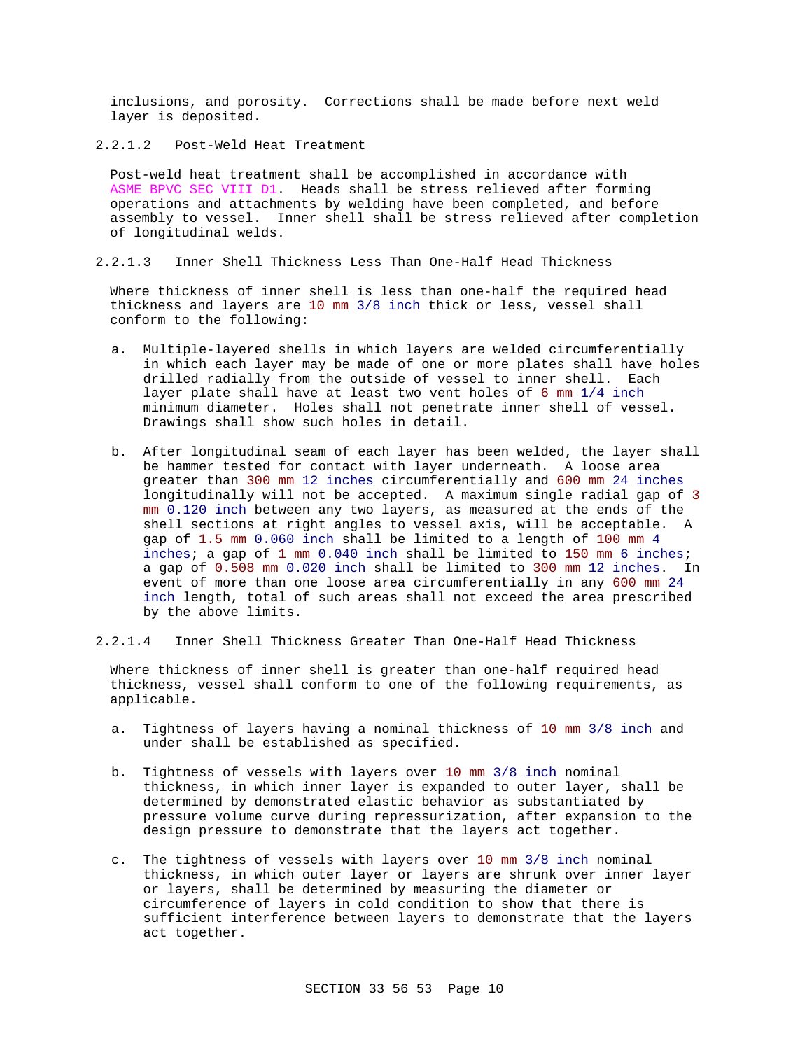inclusions, and porosity. Corrections shall be made before next weld layer is deposited.

2.2.1.2 Post-Weld Heat Treatment

Post-weld heat treatment shall be accomplished in accordance with ASME BPVC SEC VIII D1. Heads shall be stress relieved after forming operations and attachments by welding have been completed, and before assembly to vessel. Inner shell shall be stress relieved after completion of longitudinal welds.

2.2.1.3 Inner Shell Thickness Less Than One-Half Head Thickness

Where thickness of inner shell is less than one-half the required head thickness and layers are 10 mm 3/8 inch thick or less, vessel shall conform to the following:

- a. Multiple-layered shells in which layers are welded circumferentially in which each layer may be made of one or more plates shall have holes drilled radially from the outside of vessel to inner shell. Each layer plate shall have at least two vent holes of 6 mm 1/4 inch minimum diameter. Holes shall not penetrate inner shell of vessel. Drawings shall show such holes in detail.
- b. After longitudinal seam of each layer has been welded, the layer shall be hammer tested for contact with layer underneath. A loose area greater than 300 mm 12 inches circumferentially and 600 mm 24 inches longitudinally will not be accepted. A maximum single radial gap of 3 mm 0.120 inch between any two layers, as measured at the ends of the shell sections at right angles to vessel axis, will be acceptable. A gap of 1.5 mm 0.060 inch shall be limited to a length of 100 mm 4 inches; a gap of 1 mm 0.040 inch shall be limited to 150 mm 6 inches; a gap of 0.508 mm 0.020 inch shall be limited to 300 mm 12 inches. In event of more than one loose area circumferentially in any 600 mm 24 inch length, total of such areas shall not exceed the area prescribed by the above limits.
- 2.2.1.4 Inner Shell Thickness Greater Than One-Half Head Thickness

Where thickness of inner shell is greater than one-half required head thickness, vessel shall conform to one of the following requirements, as applicable.

- a. Tightness of layers having a nominal thickness of 10 mm 3/8 inch and under shall be established as specified.
- b. Tightness of vessels with layers over 10 mm 3/8 inch nominal thickness, in which inner layer is expanded to outer layer, shall be determined by demonstrated elastic behavior as substantiated by pressure volume curve during repressurization, after expansion to the design pressure to demonstrate that the layers act together.
- c. The tightness of vessels with layers over 10 mm 3/8 inch nominal thickness, in which outer layer or layers are shrunk over inner layer or layers, shall be determined by measuring the diameter or circumference of layers in cold condition to show that there is sufficient interference between layers to demonstrate that the layers act together.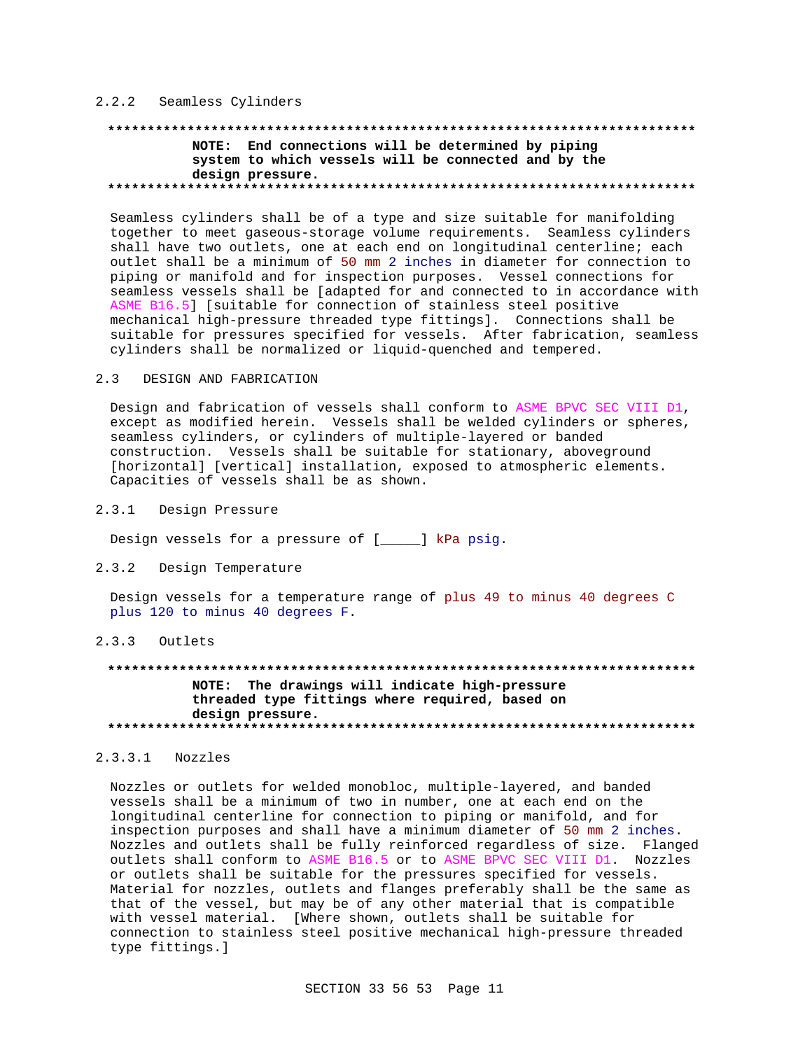#### 2.2.2 Seamless Cylinders

### **\*\*\*\*\*\*\*\*\*\*\*\*\*\*\*\*\*\*\*\*\*\*\*\*\*\*\*\*\*\*\*\*\*\*\*\*\*\*\*\*\*\*\*\*\*\*\*\*\*\*\*\*\*\*\*\*\*\*\*\*\*\*\*\*\*\*\*\*\*\*\*\*\*\* NOTE: End connections will be determined by piping system to which vessels will be connected and by the design pressure. \*\*\*\*\*\*\*\*\*\*\*\*\*\*\*\*\*\*\*\*\*\*\*\*\*\*\*\*\*\*\*\*\*\*\*\*\*\*\*\*\*\*\*\*\*\*\*\*\*\*\*\*\*\*\*\*\*\*\*\*\*\*\*\*\*\*\*\*\*\*\*\*\*\***

Seamless cylinders shall be of a type and size suitable for manifolding together to meet gaseous-storage volume requirements. Seamless cylinders shall have two outlets, one at each end on longitudinal centerline; each outlet shall be a minimum of 50 mm 2 inches in diameter for connection to piping or manifold and for inspection purposes. Vessel connections for seamless vessels shall be [adapted for and connected to in accordance with ASME B16.5] [suitable for connection of stainless steel positive mechanical high-pressure threaded type fittings]. Connections shall be suitable for pressures specified for vessels. After fabrication, seamless cylinders shall be normalized or liquid-quenched and tempered.

#### 2.3 DESIGN AND FABRICATION

Design and fabrication of vessels shall conform to ASME BPVC SEC VIII D1, except as modified herein. Vessels shall be welded cylinders or spheres, seamless cylinders, or cylinders of multiple-layered or banded construction. Vessels shall be suitable for stationary, aboveground [horizontal] [vertical] installation, exposed to atmospheric elements. Capacities of vessels shall be as shown.

2.3.1 Design Pressure

Design vessels for a pressure of [\_\_\_\_\_] kPa psig.

# 2.3.2 Design Temperature

Design vessels for a temperature range of plus 49 to minus 40 degrees C plus 120 to minus 40 degrees F.

### 2.3.3 Outlets

# **\*\*\*\*\*\*\*\*\*\*\*\*\*\*\*\*\*\*\*\*\*\*\*\*\*\*\*\*\*\*\*\*\*\*\*\*\*\*\*\*\*\*\*\*\*\*\*\*\*\*\*\*\*\*\*\*\*\*\*\*\*\*\*\*\*\*\*\*\*\*\*\*\*\* NOTE: The drawings will indicate high-pressure threaded type fittings where required, based on design pressure. \*\*\*\*\*\*\*\*\*\*\*\*\*\*\*\*\*\*\*\*\*\*\*\*\*\*\*\*\*\*\*\*\*\*\*\*\*\*\*\*\*\*\*\*\*\*\*\*\*\*\*\*\*\*\*\*\*\*\*\*\*\*\*\*\*\*\*\*\*\*\*\*\*\***

# 2.3.3.1 Nozzles

Nozzles or outlets for welded monobloc, multiple-layered, and banded vessels shall be a minimum of two in number, one at each end on the longitudinal centerline for connection to piping or manifold, and for inspection purposes and shall have a minimum diameter of 50 mm 2 inches. Nozzles and outlets shall be fully reinforced regardless of size. Flanged outlets shall conform to ASME B16.5 or to ASME BPVC SEC VIII D1. Nozzles or outlets shall be suitable for the pressures specified for vessels. Material for nozzles, outlets and flanges preferably shall be the same as that of the vessel, but may be of any other material that is compatible with vessel material. [Where shown, outlets shall be suitable for connection to stainless steel positive mechanical high-pressure threaded type fittings.]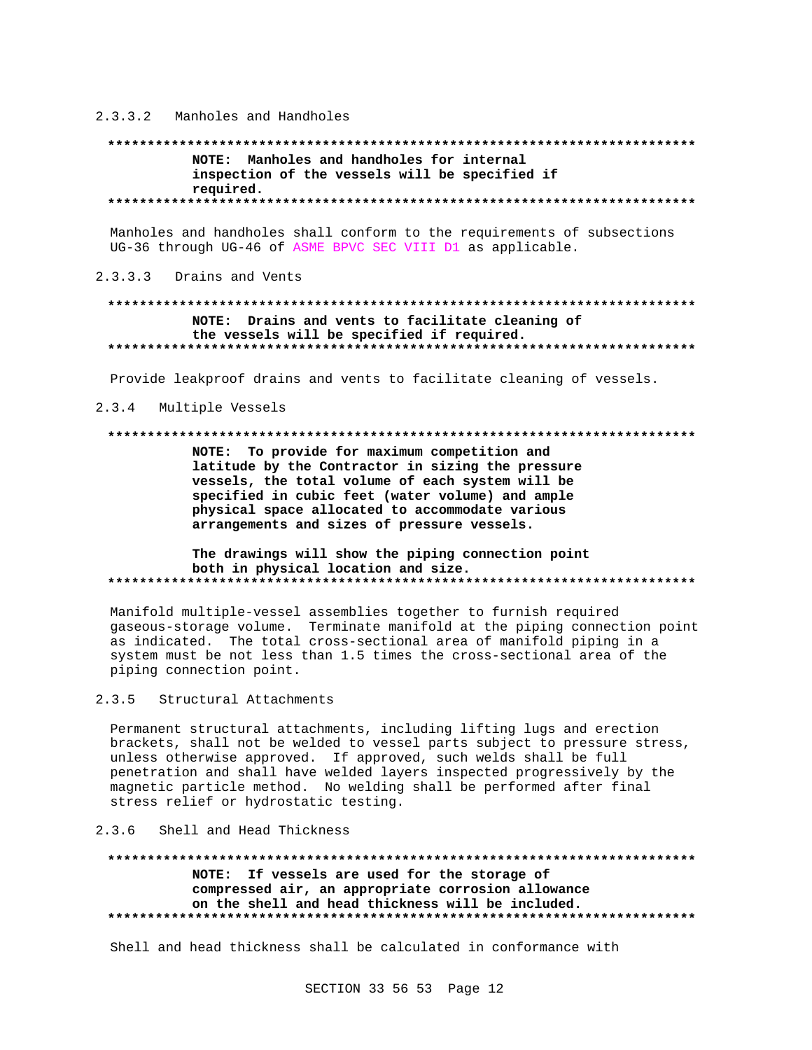#### 2.3.3.2 Manholes and Handholes

### NOTE: Manholes and handholes for internal inspection of the vessels will be specified if required.

Manholes and handholes shall conform to the requirements of subsections UG-36 through UG-46 of ASME BPVC SEC VIII D1 as applicable.

#### $2, 3, 3, 3$ Drains and Vents

# NOTE: Drains and vents to facilitate cleaning of the vessels will be specified if required.

Provide leakproof drains and vents to facilitate cleaning of vessels.

#### 2.3.4 Multiple Vessels

#### 

NOTE: To provide for maximum competition and latitude by the Contractor in sizing the pressure vessels, the total volume of each system will be specified in cubic feet (water volume) and ample physical space allocated to accommodate various arrangements and sizes of pressure vessels.

#### The drawings will show the piping connection point both in physical location and size.

Manifold multiple-vessel assemblies together to furnish required gaseous-storage volume. Terminate manifold at the piping connection point as indicated. The total cross-sectional area of manifold piping in a system must be not less than 1.5 times the cross-sectional area of the piping connection point.

#### $2.3.5$ Structural Attachments

Permanent structural attachments, including lifting lugs and erection brackets, shall not be welded to vessel parts subject to pressure stress, unless otherwise approved. If approved, such welds shall be full penetration and shall have welded layers inspected progressively by the magnetic particle method. No welding shall be performed after final stress relief or hydrostatic testing.

### 2.3.6 Shell and Head Thickness

### NOTE: If vessels are used for the storage of compressed air, an appropriate corrosion allowance on the shell and head thickness will be included.

Shell and head thickness shall be calculated in conformance with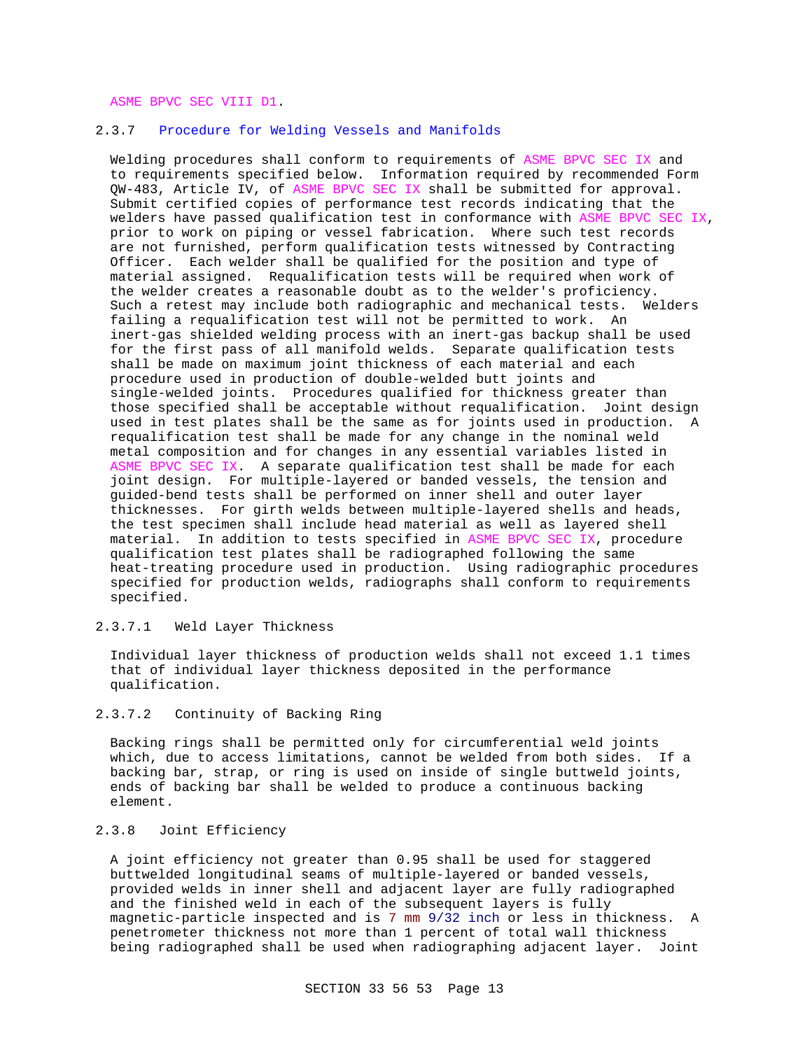ASME BPVC SEC VIII D1.

#### 2.3.7 Procedure for Welding Vessels and Manifolds

Welding procedures shall conform to requirements of ASME BPVC SEC IX and to requirements specified below. Information required by recommended Form QW-483, Article IV, of ASME BPVC SEC IX shall be submitted for approval. Submit certified copies of performance test records indicating that the welders have passed qualification test in conformance with ASME BPVC SEC IX, prior to work on piping or vessel fabrication. Where such test records are not furnished, perform qualification tests witnessed by Contracting Officer. Each welder shall be qualified for the position and type of material assigned. Requalification tests will be required when work of the welder creates a reasonable doubt as to the welder's proficiency. Such a retest may include both radiographic and mechanical tests. Welders failing a requalification test will not be permitted to work. An inert-gas shielded welding process with an inert-gas backup shall be used for the first pass of all manifold welds. Separate qualification tests shall be made on maximum joint thickness of each material and each procedure used in production of double-welded butt joints and single-welded joints. Procedures qualified for thickness greater than those specified shall be acceptable without requalification. Joint design used in test plates shall be the same as for joints used in production. A requalification test shall be made for any change in the nominal weld metal composition and for changes in any essential variables listed in ASME BPVC SEC IX. A separate qualification test shall be made for each joint design. For multiple-layered or banded vessels, the tension and guided-bend tests shall be performed on inner shell and outer layer thicknesses. For girth welds between multiple-layered shells and heads, the test specimen shall include head material as well as layered shell material. In addition to tests specified in ASME BPVC SEC IX, procedure qualification test plates shall be radiographed following the same heat-treating procedure used in production. Using radiographic procedures specified for production welds, radiographs shall conform to requirements specified.

#### 2.3.7.1 Weld Layer Thickness

Individual layer thickness of production welds shall not exceed 1.1 times that of individual layer thickness deposited in the performance qualification.

## 2.3.7.2 Continuity of Backing Ring

Backing rings shall be permitted only for circumferential weld joints which, due to access limitations, cannot be welded from both sides. If a backing bar, strap, or ring is used on inside of single buttweld joints, ends of backing bar shall be welded to produce a continuous backing element.

# 2.3.8 Joint Efficiency

A joint efficiency not greater than 0.95 shall be used for staggered buttwelded longitudinal seams of multiple-layered or banded vessels, provided welds in inner shell and adjacent layer are fully radiographed and the finished weld in each of the subsequent layers is fully magnetic-particle inspected and is 7 mm 9/32 inch or less in thickness. A penetrometer thickness not more than 1 percent of total wall thickness being radiographed shall be used when radiographing adjacent layer. Joint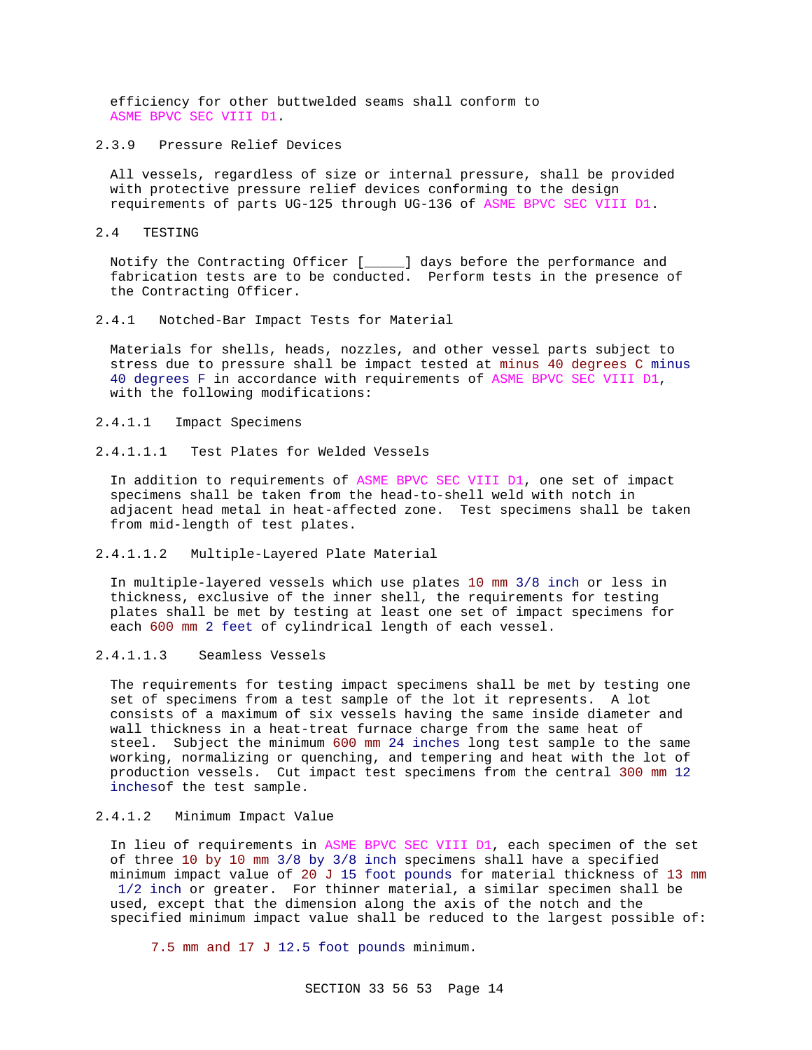efficiency for other buttwelded seams shall conform to ASME BPVC SEC VIII D1.

2.3.9 Pressure Relief Devices

All vessels, regardless of size or internal pressure, shall be provided with protective pressure relief devices conforming to the design requirements of parts UG-125 through UG-136 of ASME BPVC SEC VIII D1.

2.4 TESTING

Notify the Contracting Officer [\_\_\_\_\_] days before the performance and fabrication tests are to be conducted. Perform tests in the presence of the Contracting Officer.

2.4.1 Notched-Bar Impact Tests for Material

Materials for shells, heads, nozzles, and other vessel parts subject to stress due to pressure shall be impact tested at minus 40 degrees C minus 40 degrees F in accordance with requirements of ASME BPVC SEC VIII D1, with the following modifications:

- 2.4.1.1 Impact Specimens
- 2.4.1.1.1 Test Plates for Welded Vessels

In addition to requirements of ASME BPVC SEC VIII D1, one set of impact specimens shall be taken from the head-to-shell weld with notch in adjacent head metal in heat-affected zone. Test specimens shall be taken from mid-length of test plates.

2.4.1.1.2 Multiple-Layered Plate Material

In multiple-layered vessels which use plates 10 mm 3/8 inch or less in thickness, exclusive of the inner shell, the requirements for testing plates shall be met by testing at least one set of impact specimens for each 600 mm 2 feet of cylindrical length of each vessel.

2.4.1.1.3 Seamless Vessels

The requirements for testing impact specimens shall be met by testing one set of specimens from a test sample of the lot it represents. A lot consists of a maximum of six vessels having the same inside diameter and wall thickness in a heat-treat furnace charge from the same heat of steel. Subject the minimum 600 mm 24 inches long test sample to the same working, normalizing or quenching, and tempering and heat with the lot of production vessels. Cut impact test specimens from the central 300 mm 12 inchesof the test sample.

2.4.1.2 Minimum Impact Value

In lieu of requirements in ASME BPVC SEC VIII D1, each specimen of the set of three 10 by 10 mm 3/8 by 3/8 inch specimens shall have a specified minimum impact value of 20 J 15 foot pounds for material thickness of 13 mm 1/2 inch or greater. For thinner material, a similar specimen shall be used, except that the dimension along the axis of the notch and the specified minimum impact value shall be reduced to the largest possible of:

7.5 mm and 17 J 12.5 foot pounds minimum.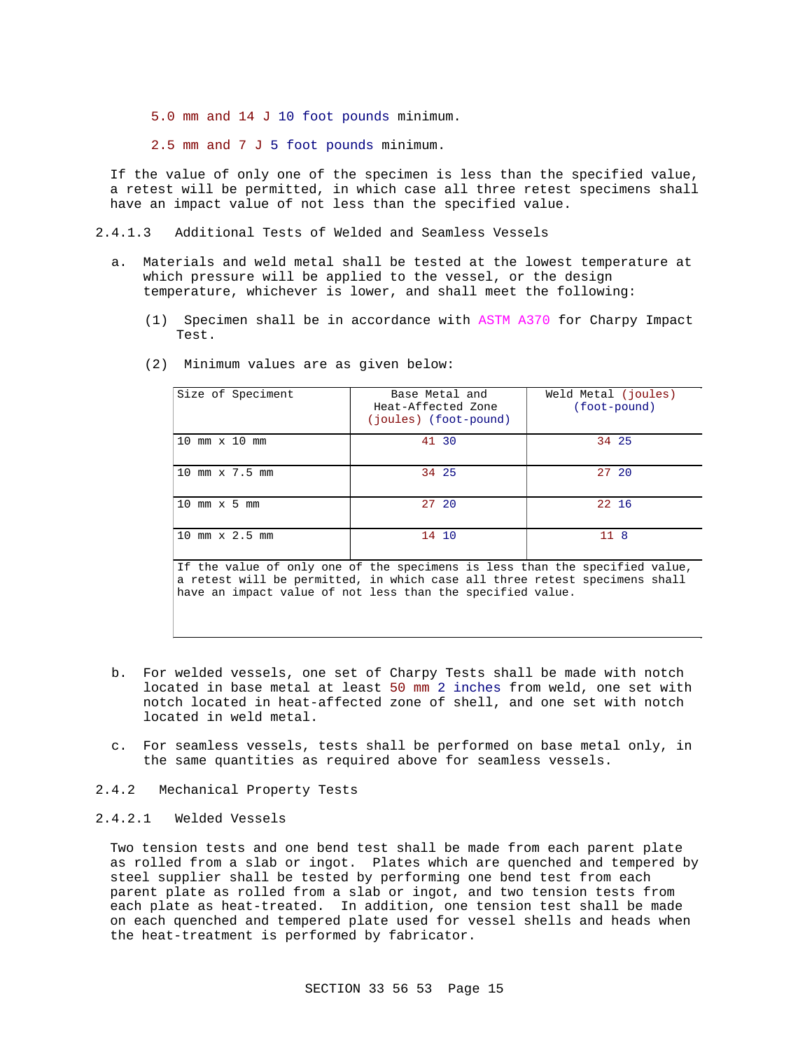5.0 mm and 14 J 10 foot pounds minimum.

2.5 mm and 7 J 5 foot pounds minimum.

If the value of only one of the specimen is less than the specified value, a retest will be permitted, in which case all three retest specimens shall have an impact value of not less than the specified value.

- 2.4.1.3 Additional Tests of Welded and Seamless Vessels
	- a. Materials and weld metal shall be tested at the lowest temperature at which pressure will be applied to the vessel, or the design temperature, whichever is lower, and shall meet the following:
		- (1) Specimen shall be in accordance with ASTM A370 for Charpy Impact Test.

| Size of Speciment                                                                                                                                                                                                       | Base Metal and<br>Heat-Affected Zone<br>(joules) (foot-pound) | Weld Metal (joules)<br>(foot-pound) |  |  |
|-------------------------------------------------------------------------------------------------------------------------------------------------------------------------------------------------------------------------|---------------------------------------------------------------|-------------------------------------|--|--|
| $10 \text{ mm} \times 10 \text{ mm}$                                                                                                                                                                                    | 41 30                                                         | 34 25                               |  |  |
| $10 \,$ mm $\times 7.5 \,$ mm                                                                                                                                                                                           | 34 25                                                         | 27, 20                              |  |  |
| $10$ mm $\times$ 5 mm                                                                                                                                                                                                   | 27 20                                                         | 22 16                               |  |  |
| $10 \,$ mm $\times$ $2.5 \,$ mm                                                                                                                                                                                         | 14 10                                                         | $11 \quad 8$                        |  |  |
| If the value of only one of the specimens is less than the specified value,<br>a retest will be permitted, in which case all three retest specimens shall<br>have an impact value of not less than the specified value. |                                                               |                                     |  |  |

(2) Minimum values are as given below:

- b. For welded vessels, one set of Charpy Tests shall be made with notch located in base metal at least 50 mm 2 inches from weld, one set with notch located in heat-affected zone of shell, and one set with notch located in weld metal.
- c. For seamless vessels, tests shall be performed on base metal only, in the same quantities as required above for seamless vessels.
- 2.4.2 Mechanical Property Tests

# 2.4.2.1 Welded Vessels

Two tension tests and one bend test shall be made from each parent plate as rolled from a slab or ingot. Plates which are quenched and tempered by steel supplier shall be tested by performing one bend test from each parent plate as rolled from a slab or ingot, and two tension tests from each plate as heat-treated. In addition, one tension test shall be made on each quenched and tempered plate used for vessel shells and heads when the heat-treatment is performed by fabricator.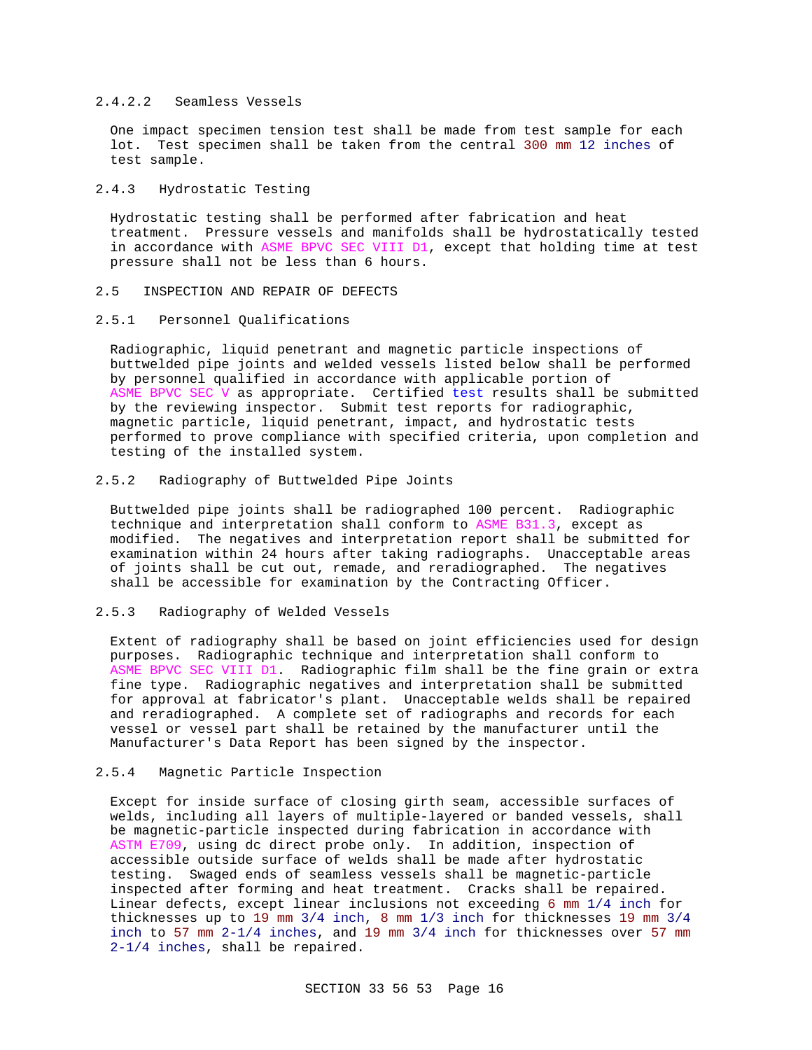### 2.4.2.2 Seamless Vessels

One impact specimen tension test shall be made from test sample for each lot. Test specimen shall be taken from the central 300 mm 12 inches of test sample.

#### 2.4.3 Hydrostatic Testing

Hydrostatic testing shall be performed after fabrication and heat treatment. Pressure vessels and manifolds shall be hydrostatically tested in accordance with ASME BPVC SEC VIII D1, except that holding time at test pressure shall not be less than 6 hours.

# 2.5 INSPECTION AND REPAIR OF DEFECTS

#### 2.5.1 Personnel Qualifications

Radiographic, liquid penetrant and magnetic particle inspections of buttwelded pipe joints and welded vessels listed below shall be performed by personnel qualified in accordance with applicable portion of ASME BPVC SEC V as appropriate. Certified test results shall be submitted by the reviewing inspector. Submit test reports for radiographic, magnetic particle, liquid penetrant, impact, and hydrostatic tests performed to prove compliance with specified criteria, upon completion and testing of the installed system.

### 2.5.2 Radiography of Buttwelded Pipe Joints

Buttwelded pipe joints shall be radiographed 100 percent. Radiographic technique and interpretation shall conform to ASME B31.3, except as modified. The negatives and interpretation report shall be submitted for examination within 24 hours after taking radiographs. Unacceptable areas of joints shall be cut out, remade, and reradiographed. The negatives shall be accessible for examination by the Contracting Officer.

#### 2.5.3 Radiography of Welded Vessels

Extent of radiography shall be based on joint efficiencies used for design purposes. Radiographic technique and interpretation shall conform to ASME BPVC SEC VIII D1. Radiographic film shall be the fine grain or extra fine type. Radiographic negatives and interpretation shall be submitted for approval at fabricator's plant. Unacceptable welds shall be repaired and reradiographed. A complete set of radiographs and records for each vessel or vessel part shall be retained by the manufacturer until the Manufacturer's Data Report has been signed by the inspector.

#### 2.5.4 Magnetic Particle Inspection

Except for inside surface of closing girth seam, accessible surfaces of welds, including all layers of multiple-layered or banded vessels, shall be magnetic-particle inspected during fabrication in accordance with ASTM E709, using dc direct probe only. In addition, inspection of accessible outside surface of welds shall be made after hydrostatic testing. Swaged ends of seamless vessels shall be magnetic-particle inspected after forming and heat treatment. Cracks shall be repaired. Linear defects, except linear inclusions not exceeding 6 mm 1/4 inch for thicknesses up to 19 mm 3/4 inch, 8 mm 1/3 inch for thicknesses 19 mm 3/4 inch to 57 mm  $2-1/4$  inches, and 19 mm  $3/4$  inch for thicknesses over 57 mm 2-1/4 inches, shall be repaired.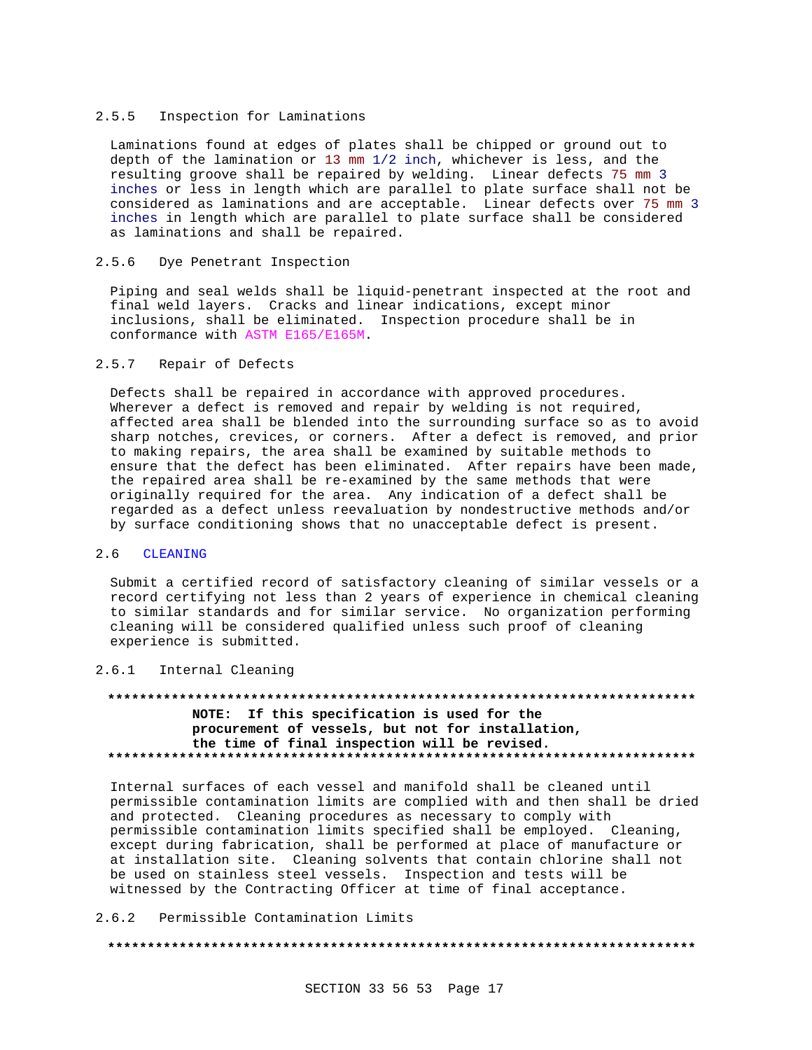#### $2.5.5$ Inspection for Laminations

Laminations found at edges of plates shall be chipped or ground out to depth of the lamination or 13 mm 1/2 inch, whichever is less, and the resulting groove shall be repaired by welding. Linear defects 75 mm 3 inches or less in length which are parallel to plate surface shall not be considered as laminations and are acceptable. Linear defects over 75 mm 3 inches in length which are parallel to plate surface shall be considered as laminations and shall be repaired.

#### $2.5.6$ Dye Penetrant Inspection

Piping and seal welds shall be liquid-penetrant inspected at the root and final weld layers. Cracks and linear indications, except minor inclusions, shall be eliminated. Inspection procedure shall be in conformance with ASTM E165/E165M.

#### $2.5.7$ Repair of Defects

Defects shall be repaired in accordance with approved procedures. Wherever a defect is removed and repair by welding is not required, affected area shall be blended into the surrounding surface so as to avoid sharp notches, crevices, or corners. After a defect is removed, and prior to making repairs, the area shall be examined by suitable methods to ensure that the defect has been eliminated. After repairs have been made, the repaired area shall be re-examined by the same methods that were originally required for the area. Any indication of a defect shall be regarded as a defect unless reevaluation by nondestructive methods and/or by surface conditioning shows that no unacceptable defect is present.

### 2.6 CLEANING

Submit a certified record of satisfactory cleaning of similar vessels or a record certifying not less than 2 years of experience in chemical cleaning to similar standards and for similar service. No organization performing cleaning will be considered qualified unless such proof of cleaning experience is submitted.

#### $2.6.1$ Internal Cleaning

# NOTE: If this specification is used for the procurement of vessels, but not for installation, the time of final inspection will be revised.

Internal surfaces of each vessel and manifold shall be cleaned until permissible contamination limits are complied with and then shall be dried and protected. Cleaning procedures as necessary to comply with permissible contamination limits specified shall be employed. Cleaning, except during fabrication, shall be performed at place of manufacture or at installation site. Cleaning solvents that contain chlorine shall not be used on stainless steel vessels. Inspection and tests will be witnessed by the Contracting Officer at time of final acceptance.

#### $2.6.2$ Permissible Contamination Limits

####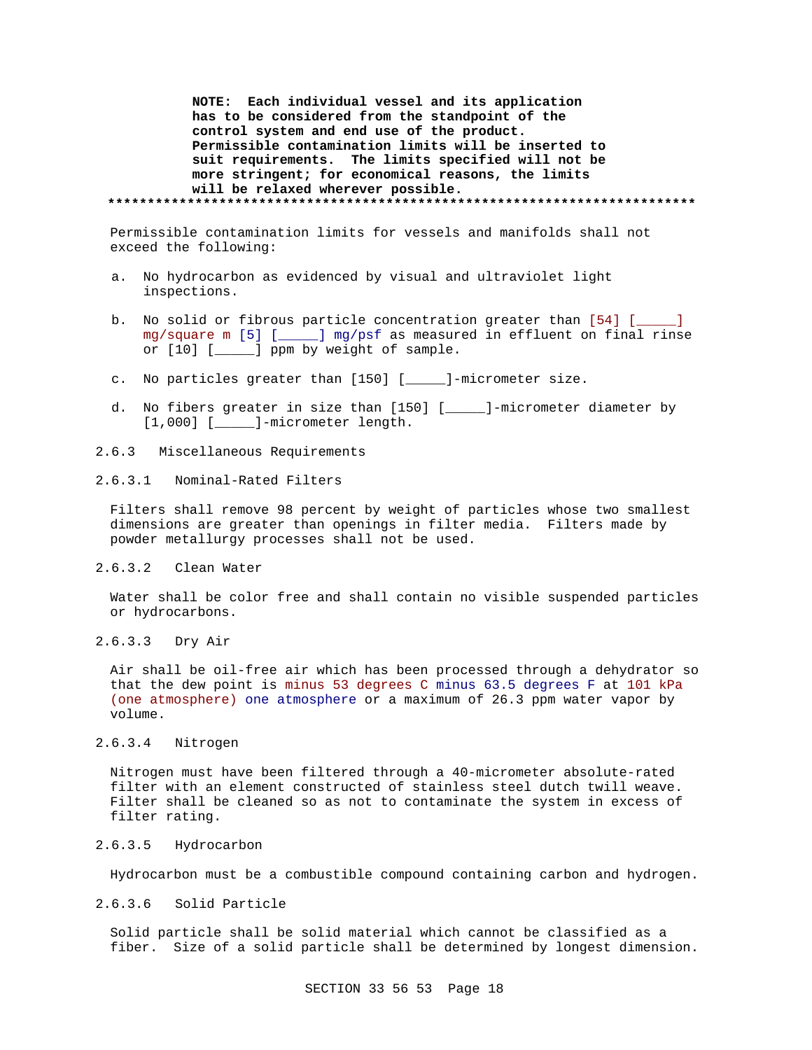**NOTE: Each individual vessel and its application has to be considered from the standpoint of the control system and end use of the product. Permissible contamination limits will be inserted to suit requirements. The limits specified will not be more stringent; for economical reasons, the limits will be relaxed wherever possible. \*\*\*\*\*\*\*\*\*\*\*\*\*\*\*\*\*\*\*\*\*\*\*\*\*\*\*\*\*\*\*\*\*\*\*\*\*\*\*\*\*\*\*\*\*\*\*\*\*\*\*\*\*\*\*\*\*\*\*\*\*\*\*\*\*\*\*\*\*\*\*\*\*\***

Permissible contamination limits for vessels and manifolds shall not exceed the following:

- a. No hydrocarbon as evidenced by visual and ultraviolet light inspections.
- b. No solid or fibrous particle concentration greater than [54] [\_\_\_\_\_] mg/square m [5] [\_\_\_\_\_] mg/psf as measured in effluent on final rinse or [10] [\_\_\_\_\_] ppm by weight of sample.
- c. No particles greater than [150] [\_\_\_\_\_]-micrometer size.
- d. No fibers greater in size than [150] [\_\_\_\_\_]-micrometer diameter by [1,000] [\_\_\_\_\_\_]-micrometer length.
- 2.6.3 Miscellaneous Requirements
- 2.6.3.1 Nominal-Rated Filters

Filters shall remove 98 percent by weight of particles whose two smallest dimensions are greater than openings in filter media. Filters made by powder metallurgy processes shall not be used.

# 2.6.3.2 Clean Water

Water shall be color free and shall contain no visible suspended particles or hydrocarbons.

### 2.6.3.3 Dry Air

Air shall be oil-free air which has been processed through a dehydrator so that the dew point is minus 53 degrees C minus 63.5 degrees F at 101 kPa (one atmosphere) one atmosphere or a maximum of 26.3 ppm water vapor by volume.

# 2.6.3.4 Nitrogen

Nitrogen must have been filtered through a 40-micrometer absolute-rated filter with an element constructed of stainless steel dutch twill weave. Filter shall be cleaned so as not to contaminate the system in excess of filter rating.

## 2.6.3.5 Hydrocarbon

Hydrocarbon must be a combustible compound containing carbon and hydrogen.

### 2.6.3.6 Solid Particle

Solid particle shall be solid material which cannot be classified as a fiber. Size of a solid particle shall be determined by longest dimension.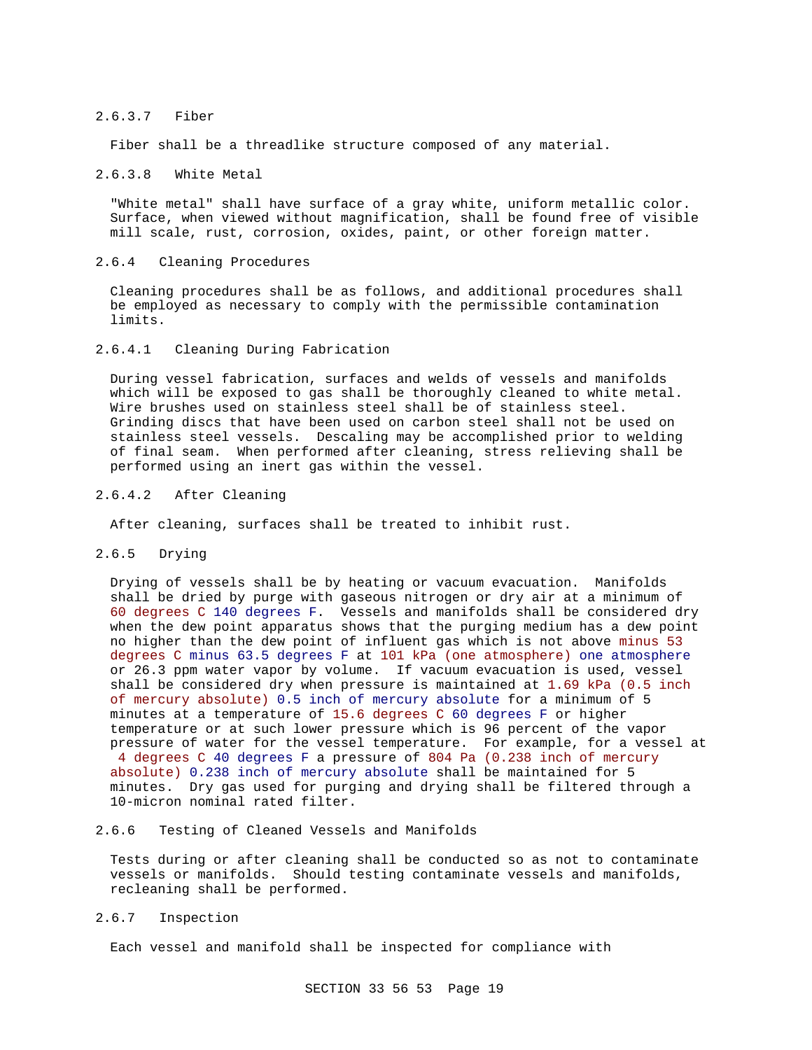#### 2.6.3.7 Fiber

Fiber shall be a threadlike structure composed of any material.

### 2.6.3.8 White Metal

"White metal" shall have surface of a gray white, uniform metallic color. Surface, when viewed without magnification, shall be found free of visible mill scale, rust, corrosion, oxides, paint, or other foreign matter.

#### 2.6.4 Cleaning Procedures

Cleaning procedures shall be as follows, and additional procedures shall be employed as necessary to comply with the permissible contamination limits.

#### 2.6.4.1 Cleaning During Fabrication

During vessel fabrication, surfaces and welds of vessels and manifolds which will be exposed to gas shall be thoroughly cleaned to white metal. Wire brushes used on stainless steel shall be of stainless steel. Grinding discs that have been used on carbon steel shall not be used on stainless steel vessels. Descaling may be accomplished prior to welding of final seam. When performed after cleaning, stress relieving shall be performed using an inert gas within the vessel.

#### 2.6.4.2 After Cleaning

After cleaning, surfaces shall be treated to inhibit rust.

2.6.5 Drying

Drying of vessels shall be by heating or vacuum evacuation. Manifolds shall be dried by purge with gaseous nitrogen or dry air at a minimum of 60 degrees C 140 degrees F. Vessels and manifolds shall be considered dry when the dew point apparatus shows that the purging medium has a dew point no higher than the dew point of influent gas which is not above minus 53 degrees C minus 63.5 degrees F at 101 kPa (one atmosphere) one atmosphere or 26.3 ppm water vapor by volume. If vacuum evacuation is used, vessel shall be considered dry when pressure is maintained at 1.69 kPa (0.5 inch of mercury absolute) 0.5 inch of mercury absolute for a minimum of 5 minutes at a temperature of 15.6 degrees C 60 degrees F or higher temperature or at such lower pressure which is 96 percent of the vapor pressure of water for the vessel temperature. For example, for a vessel at 4 degrees C 40 degrees F a pressure of 804 Pa (0.238 inch of mercury absolute) 0.238 inch of mercury absolute shall be maintained for 5 minutes. Dry gas used for purging and drying shall be filtered through a

10-micron nominal rated filter.

### 2.6.6 Testing of Cleaned Vessels and Manifolds

Tests during or after cleaning shall be conducted so as not to contaminate vessels or manifolds. Should testing contaminate vessels and manifolds, recleaning shall be performed.

### 2.6.7 Inspection

Each vessel and manifold shall be inspected for compliance with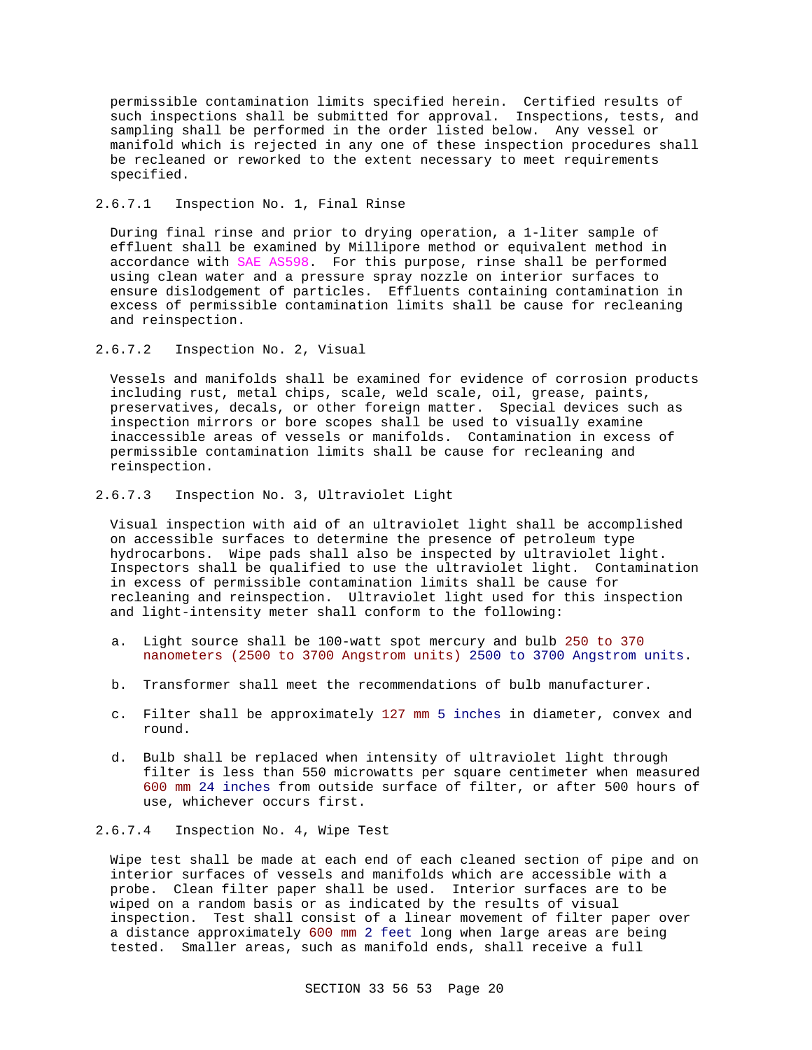permissible contamination limits specified herein. Certified results of such inspections shall be submitted for approval. Inspections, tests, and sampling shall be performed in the order listed below. Any vessel or manifold which is rejected in any one of these inspection procedures shall be recleaned or reworked to the extent necessary to meet requirements specified.

# 2.6.7.1 Inspection No. 1, Final Rinse

During final rinse and prior to drying operation, a 1-liter sample of effluent shall be examined by Millipore method or equivalent method in accordance with SAE AS598. For this purpose, rinse shall be performed using clean water and a pressure spray nozzle on interior surfaces to ensure dislodgement of particles. Effluents containing contamination in excess of permissible contamination limits shall be cause for recleaning and reinspection.

2.6.7.2 Inspection No. 2, Visual

Vessels and manifolds shall be examined for evidence of corrosion products including rust, metal chips, scale, weld scale, oil, grease, paints, preservatives, decals, or other foreign matter. Special devices such as inspection mirrors or bore scopes shall be used to visually examine inaccessible areas of vessels or manifolds. Contamination in excess of permissible contamination limits shall be cause for recleaning and reinspection.

2.6.7.3 Inspection No. 3, Ultraviolet Light

Visual inspection with aid of an ultraviolet light shall be accomplished on accessible surfaces to determine the presence of petroleum type hydrocarbons. Wipe pads shall also be inspected by ultraviolet light. Inspectors shall be qualified to use the ultraviolet light. Contamination in excess of permissible contamination limits shall be cause for recleaning and reinspection. Ultraviolet light used for this inspection and light-intensity meter shall conform to the following:

- a. Light source shall be 100-watt spot mercury and bulb 250 to 370 nanometers (2500 to 3700 Angstrom units) 2500 to 3700 Angstrom units.
- b. Transformer shall meet the recommendations of bulb manufacturer.
- c. Filter shall be approximately 127 mm 5 inches in diameter, convex and round.
- d. Bulb shall be replaced when intensity of ultraviolet light through filter is less than 550 microwatts per square centimeter when measured 600 mm 24 inches from outside surface of filter, or after 500 hours of use, whichever occurs first.
- 2.6.7.4 Inspection No. 4, Wipe Test

Wipe test shall be made at each end of each cleaned section of pipe and on interior surfaces of vessels and manifolds which are accessible with a probe. Clean filter paper shall be used. Interior surfaces are to be wiped on a random basis or as indicated by the results of visual inspection. Test shall consist of a linear movement of filter paper over a distance approximately 600 mm 2 feet long when large areas are being tested. Smaller areas, such as manifold ends, shall receive a full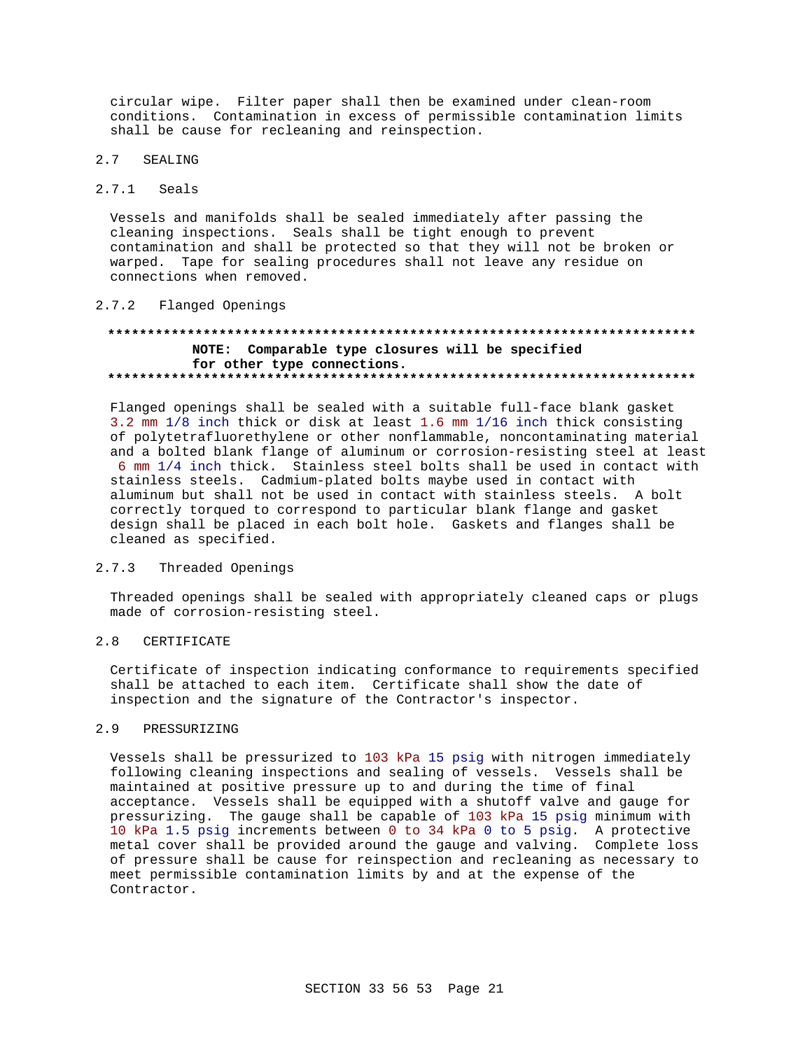circular wipe. Filter paper shall then be examined under clean-room conditions. Contamination in excess of permissible contamination limits shall be cause for recleaning and reinspection.

#### $2.7$ SEALING

#### $2.7.1$ Seals

Vessels and manifolds shall be sealed immediately after passing the cleaning inspections. Seals shall be tight enough to prevent contamination and shall be protected so that they will not be broken or warped. Tape for sealing procedures shall not leave any residue on connections when removed.

#### $2.7.2$ Flanged Openings

# NOTE: Comparable type closures will be specified for other type connections.

Flanged openings shall be sealed with a suitable full-face blank gasket 3.2 mm 1/8 inch thick or disk at least 1.6 mm 1/16 inch thick consisting of polytetrafluorethylene or other nonflammable, noncontaminating material and a bolted blank flange of aluminum or corrosion-resisting steel at least 6 mm 1/4 inch thick. Stainless steel bolts shall be used in contact with stainless steels. Cadmium-plated bolts maybe used in contact with aluminum but shall not be used in contact with stainless steels. A bolt correctly torqued to correspond to particular blank flange and gasket design shall be placed in each bolt hole. Gaskets and flanges shall be cleaned as specified.

#### $2.7.3$ Threaded Openings

Threaded openings shall be sealed with appropriately cleaned caps or plugs made of corrosion-resisting steel.

#### $2.8$ CERTIFICATE

Certificate of inspection indicating conformance to requirements specified shall be attached to each item. Certificate shall show the date of inspection and the signature of the Contractor's inspector.

#### $2.9$ PRESSURIZING

Vessels shall be pressurized to 103 kPa 15 psig with nitrogen immediately following cleaning inspections and sealing of vessels. Vessels shall be maintained at positive pressure up to and during the time of final acceptance. Vessels shall be equipped with a shutoff valve and gauge for pressurizing. The gauge shall be capable of 103 kPa 15 psig minimum with 10 kPa 1.5 psig increments between 0 to 34 kPa 0 to 5 psig. A protective metal cover shall be provided around the gauge and valving. Complete loss of pressure shall be cause for reinspection and recleaning as necessary to meet permissible contamination limits by and at the expense of the Contractor.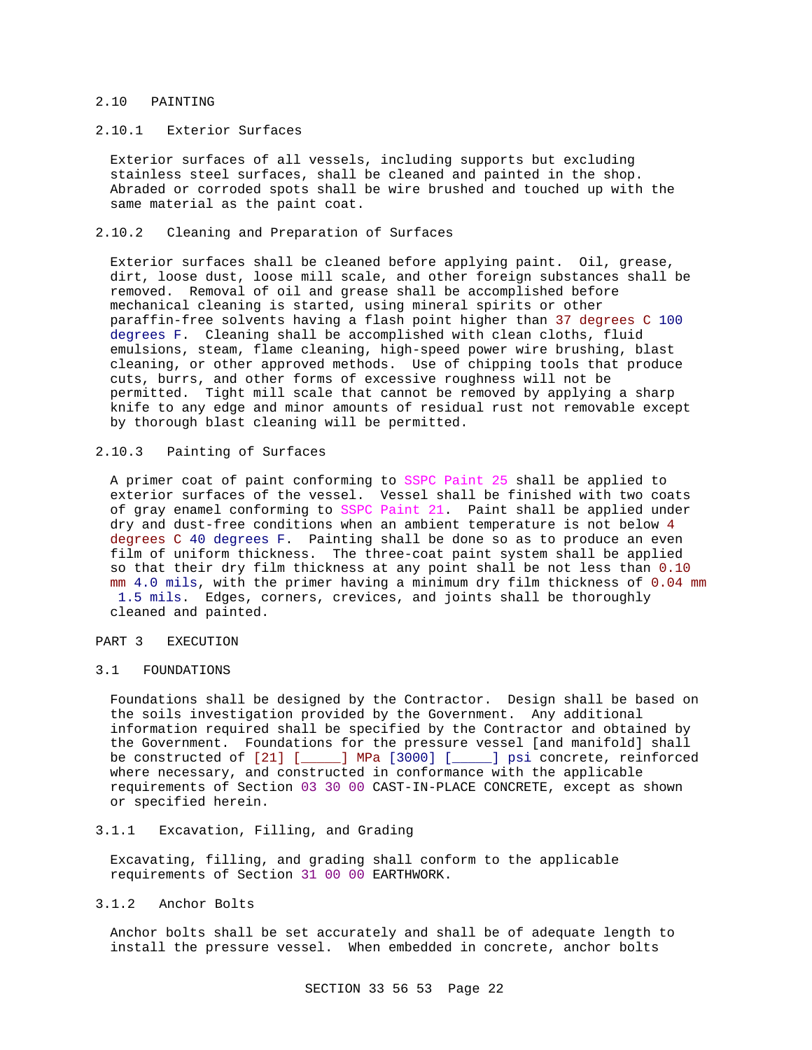#### 2.10 PAINTING

# 2.10.1 Exterior Surfaces

Exterior surfaces of all vessels, including supports but excluding stainless steel surfaces, shall be cleaned and painted in the shop. Abraded or corroded spots shall be wire brushed and touched up with the same material as the paint coat.

# 2.10.2 Cleaning and Preparation of Surfaces

Exterior surfaces shall be cleaned before applying paint. Oil, grease, dirt, loose dust, loose mill scale, and other foreign substances shall be removed. Removal of oil and grease shall be accomplished before mechanical cleaning is started, using mineral spirits or other paraffin-free solvents having a flash point higher than 37 degrees C 100 degrees F. Cleaning shall be accomplished with clean cloths, fluid emulsions, steam, flame cleaning, high-speed power wire brushing, blast cleaning, or other approved methods. Use of chipping tools that produce cuts, burrs, and other forms of excessive roughness will not be permitted. Tight mill scale that cannot be removed by applying a sharp knife to any edge and minor amounts of residual rust not removable except by thorough blast cleaning will be permitted.

### 2.10.3 Painting of Surfaces

A primer coat of paint conforming to SSPC Paint 25 shall be applied to exterior surfaces of the vessel. Vessel shall be finished with two coats of gray enamel conforming to SSPC Paint 21. Paint shall be applied under dry and dust-free conditions when an ambient temperature is not below 4 degrees C 40 degrees F. Painting shall be done so as to produce an even film of uniform thickness. The three-coat paint system shall be applied so that their dry film thickness at any point shall be not less than 0.10 mm 4.0 mils, with the primer having a minimum dry film thickness of 0.04 mm 1.5 mils. Edges, corners, crevices, and joints shall be thoroughly cleaned and painted.

#### PART 3 EXECUTION

#### 3.1 FOUNDATIONS

Foundations shall be designed by the Contractor. Design shall be based on the soils investigation provided by the Government. Any additional information required shall be specified by the Contractor and obtained by the Government. Foundations for the pressure vessel [and manifold] shall be constructed of [21] [\_\_\_\_\_] MPa [3000] [\_\_\_\_\_] psi concrete, reinforced where necessary, and constructed in conformance with the applicable requirements of Section 03 30 00 CAST-IN-PLACE CONCRETE, except as shown or specified herein.

# 3.1.1 Excavation, Filling, and Grading

Excavating, filling, and grading shall conform to the applicable requirements of Section 31 00 00 EARTHWORK.

3.1.2 Anchor Bolts

Anchor bolts shall be set accurately and shall be of adequate length to install the pressure vessel. When embedded in concrete, anchor bolts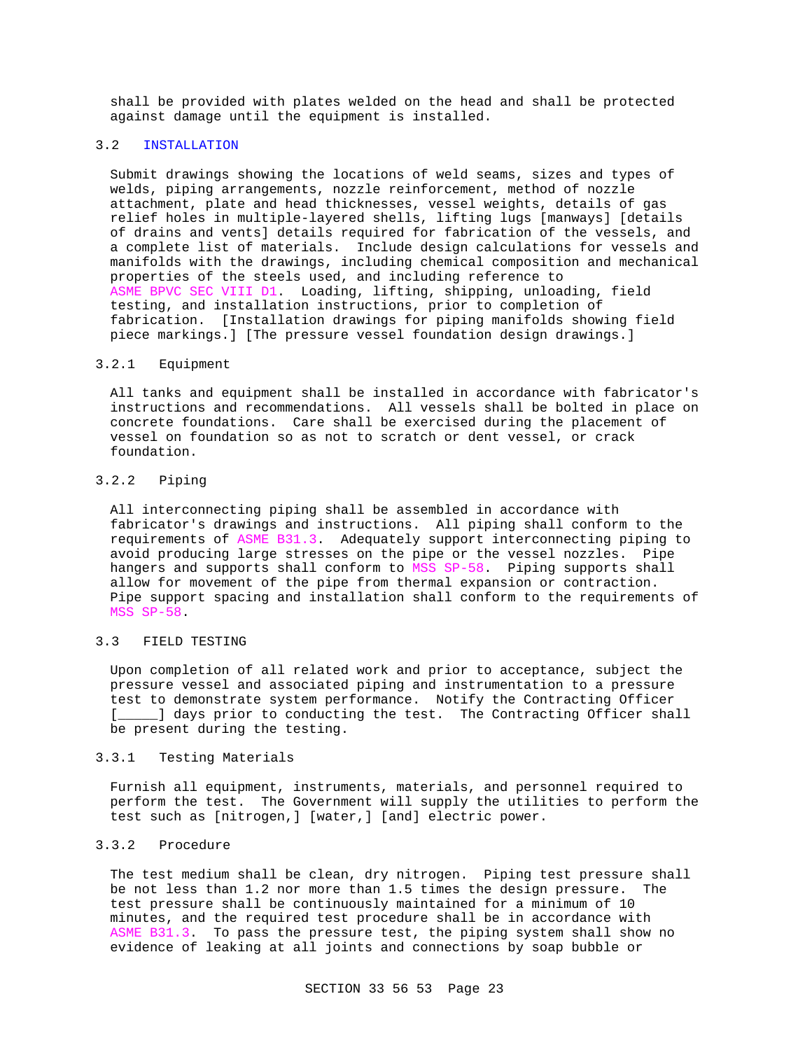shall be provided with plates welded on the head and shall be protected against damage until the equipment is installed.

# 3.2 INSTALLATION

Submit drawings showing the locations of weld seams, sizes and types of welds, piping arrangements, nozzle reinforcement, method of nozzle attachment, plate and head thicknesses, vessel weights, details of gas relief holes in multiple-layered shells, lifting lugs [manways] [details of drains and vents] details required for fabrication of the vessels, and a complete list of materials. Include design calculations for vessels and manifolds with the drawings, including chemical composition and mechanical properties of the steels used, and including reference to ASME BPVC SEC VIII D1. Loading, lifting, shipping, unloading, field testing, and installation instructions, prior to completion of fabrication. [Installation drawings for piping manifolds showing field piece markings.] [The pressure vessel foundation design drawings.]

### 3.2.1 Equipment

All tanks and equipment shall be installed in accordance with fabricator's instructions and recommendations. All vessels shall be bolted in place on concrete foundations. Care shall be exercised during the placement of vessel on foundation so as not to scratch or dent vessel, or crack foundation.

# 3.2.2 Piping

All interconnecting piping shall be assembled in accordance with fabricator's drawings and instructions. All piping shall conform to the requirements of ASME B31.3. Adequately support interconnecting piping to avoid producing large stresses on the pipe or the vessel nozzles. Pipe hangers and supports shall conform to MSS SP-58. Piping supports shall allow for movement of the pipe from thermal expansion or contraction. Pipe support spacing and installation shall conform to the requirements of MSS SP-58.

# 3.3 FIELD TESTING

Upon completion of all related work and prior to acceptance, subject the pressure vessel and associated piping and instrumentation to a pressure test to demonstrate system performance. Notify the Contracting Officer [*\_\_\_\_\_*] days prior to conducting the test. The Contracting Officer shall be present during the testing.

### 3.3.1 Testing Materials

Furnish all equipment, instruments, materials, and personnel required to perform the test. The Government will supply the utilities to perform the test such as [nitrogen,] [water,] [and] electric power.

# 3.3.2 Procedure

The test medium shall be clean, dry nitrogen. Piping test pressure shall be not less than 1.2 nor more than 1.5 times the design pressure. The test pressure shall be continuously maintained for a minimum of 10 minutes, and the required test procedure shall be in accordance with ASME B31.3. To pass the pressure test, the piping system shall show no evidence of leaking at all joints and connections by soap bubble or